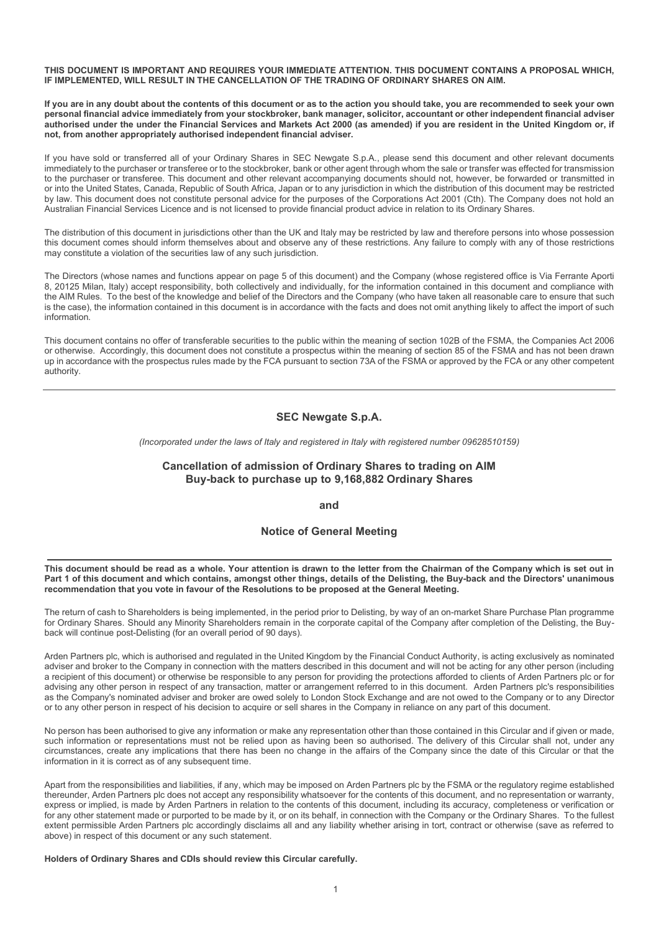IF IMPLEMENTED, WILL RESULT IN THE CANCELLATION OF THE TRADING OF ORDINARY SHARES ON AIM.

THIS DOCUMENT IS IMPORTANT AND REQUIRES YOUR IMMEDIATE ATTENTION. THIS DOCUMENT CONTAINS A PROPOSAL WHICH,<br>IF IMPLEMENTED, WILL RESULT IN THE CANCELLATION OF THE TRADING OF ORDINARY SHARES ON AIM.<br>If you are in any doubt a THIS DOCUMENT IS IMPORTANT AND REQUIRES YOUR IMMEDIATE ATTENTION. THIS DOCUMENT CONTAINS A PROPOSAL WHICH,<br>IF IMPLEMENTED, WILL RESULT IN THE CANCELLATION OF THE TRADING OF ORDINARY SHARES ON AIM.<br>If you are in any doubt a personal financial advice immediately from your stockbroker, bank manager, solicitor, accountant or other independent financial adviser<br>authorised under the under the Financial Services and Markets Act 2000 (as amended) if not, from another appropriately authorised independent financial adviser.

THIS DOCUMENT IS IMPORTANT AND REQUIRES YOUR IMMEDIATE ATTENTION. THIS DOCUMENT CONTAINS A PROPOSAL WHICH,<br>IF IMPLEMENTED, WILL RESULT IN THE CANCELLATION OF THE TRADING OF ORDINARY SHARES ON AIM.<br>If you are in any doubt a If you have sold or transferred all of your Ordinary Shares in SEC Newgate S.p.A., please send this document and other relevant documents immediately to the purchaser or transferee or to the stockbroker, bank or other agent through whom the sale or transfer was effected for transmission to the purchaser or transferee. This document and other relevant accompanying documents should not, however, be forwarded or transmitted in or into the United States, Canada, Republic of South Africa, Japan or to any jurisdiction in which the distribution of this document may be restricted<br>by law. This document does not constitute personal advice for the purpo THIS DOCUMENT IS IMPORTANT AND REQUIRES YOUR IMMEDIATE ATTENTION. THIS DOCUMENT CONTAINS A PROPOSAL WHICH,<br>IF IMPLEMENTED, WILL RESULT IN THE CANCELLATION OF THE TRADING OF ORDINARY SHARES ON AIM...<br>personal financial advi Australian Financial Services Licence and is not licensed to provide financial product advice in relation to its Ordinary Shares. THIS DOCUMENT IS IMPORTANT AND REQUIRES YOUR IMMEDIATE ATTENTION. THIS DOCUMENT CONTAINS A PROPOSAL WHICH, If you are in any doubt about the control of the CMMCBLATED (IT is document of the CMMCBLATED and the CMMCBLATED pr THIS DOCUMENT IS IMPORTANT AND REQUIRES YOUR IMMEDIATE ATTENTION. THIS DOCUMENT CONTAINS A PROPOSAL WHICH, If you are in any doubt about the control of this document of any other state the company of the Company of the Com THIS DOCUMENT IS IMPORTANT AND REQUIRES YOUR IMMEDIATE ATTENTION. THIS DOCUMENT CONTAINS A PROPOSAL WHICH, If yield your comparison that the contents of this document of the fit of the public about the contains of this doc

this document comes should inform themselves about and observe any of these restrictions. Any failure to comply with any of those restrictions may constitute a violation of the securities law of any such jurisdiction.

8, 20125 Milan, Italy) accept responsibility, both collectively and individually, for the information contained in this document and compliance with the AIM Rules. To the best of the knowledge and belief of the Directors and the Company (who have taken all reasonable care to ensure that such is the case), the information contained in this document is in accordance with the facts and does not omit anything likely to affect the import of such information. space of the purposes of the Comparation was a series of the Comparation in the Compary does not hold an sind is not the purposes of the Comparisons Act 2001 (Cth). The Compary does not hold an sind is not licensed to the S. 20125 Minn, Naly) accept responsibility, both collectivity and individually. for the information contains in the document and a molecular term in the company which the should be reader that is the information contains o

or otherwise. Accordingly, this document does not constitute a prospectus within the meaning of section 85 of the FSMA and has not been drawn up in accordance with the prospectus rules made by the FCA pursuant to section 73A of the FSMA or approved by the FCA or any other competent authority. The AM Ruiss. To the batter of the Directors and the Company (who have taken all reasonable care to ensure that such the AM Ruiss contains are of the proposition of the Directors and the Company (who have taken all reasona is the case), the information contained in the discussion the Resolution of the Resolution of the Resolution that year and the SMA, the Companies Act 2006 information contains to offer of transferable securities to the pub This document contains no offer of transferable securities to the public within the meaning of section 1028 of the FSMA, the Companies Act 2006<br>
ore there wise Accordingly, this document does not consittute a prospectus wi

# SEC Newgate S.p.A.

(Incorporated under the laws of Italy and registered in Italy with registered number 09628510159)

# Cancellation of admission of Ordinary Shares to trading on AIM

and

# Notice of General Meeting

back will continue post-Delisting (for an overall period of 90 days).

This document contains no offer of transferable escurites to the public within the meaning of section 55 differ FSMA or Gompanis And 2006<br>Up the meaning of section 73A of the FSMA or appropriate of the FSMA and has not bee SEC Nowgate S.p.A.<br>
2. Chromorosted under the laws of haly and registered in tlay with registered number 09628510159)<br>
Cancellation of adminission of Ordinary Shares to trading on AIM<br>
Buy-back to purchase up to 9,168,882 SEC Newyate S.p.A.<br>
SEC Newyate S.p.A.<br>
Cancellation of admission of Ordinary Shares to trading on AIM<br>
Buy-back to purchase up to 9,168,882 Ordinary Shares<br>
and<br>
Notice of General Meeting<br>
This document should be nead as SEC Nowgate S.p.A.<br>
(Incorporated under the laws of ltaly and registered in ltaly with registered number 06528510159)<br>
Cancellation of adminission of Ordinary Shares to trading<br>
Buy-back to purchase up to 9,168,882 Ordinar advising any other person in respect of any transaction, matter or arrangement referred to in this document. Arden Partners plc's responsibilities as the Company's nominated adviser and broker are owed solely to London Sto SEC Nowgate S.p.A.<br>
(Incorporated under the lews of laby and registered in Italy with registered number 09628510159)<br>
Cancellation of admission of Ordinary Shares to trading on AIM<br>
Buy-back to purchase up to 9,168,882 Ord or to any other person in respect of his decision to acquire or sell shares in the Company in reliance on any part of this document. Cancellation of admission of Ordinary Shares to trading on AIM<br>
Buy-back to purchase up to 9,168,882 Ordinary Shares<br>
and<br>
Notice of General Meeting<br>
This document should be read as a whole. Your attention is drawn to the **Applies and Motice of General Meeting**<br>This document and which contains, amongst chee this feed of the Delisting, the Buy-back and the Directors' unanimous<br>Part of this document and which contains, amongst chee this ge, d **This document should be read as a whole. You matention is drawn to the letter from the Chairman of the Company which is set out in the members plane of orthomogen and the filled thromogen when the the company which is set This document should be read as a whole. Your attention is drawn to the letter from the Chaliman of the Company which is set out in<br>Part 1 of this document and which contains, amongst other things, details of the Delistin This document should be read as a whole, Your attention is drawn to the letter from the Chairman of the Company which is set out in a<br>Part of this document and which contains, amongst chies the fore hings, details of the** This document should be read as a whole. Your attention is drawn to the left from the Chalman of the Company which is set out in Part of this document and which contains, amongst chher fhings, details of the Delisting, the This usuch information our between the relief of the Real of the Company interactions and the Company information of the Company information of the Company information that you be the Company information that you wor of th

No person has been authorised to give any information or make any representation other than those contained in this Circular and if given or made. circumstances, create any implications that there has been no change in the affairs of the Company since the date of this Circular or that the information in it is correct as of any subsequent time.

above) in respect of this document or any such statement.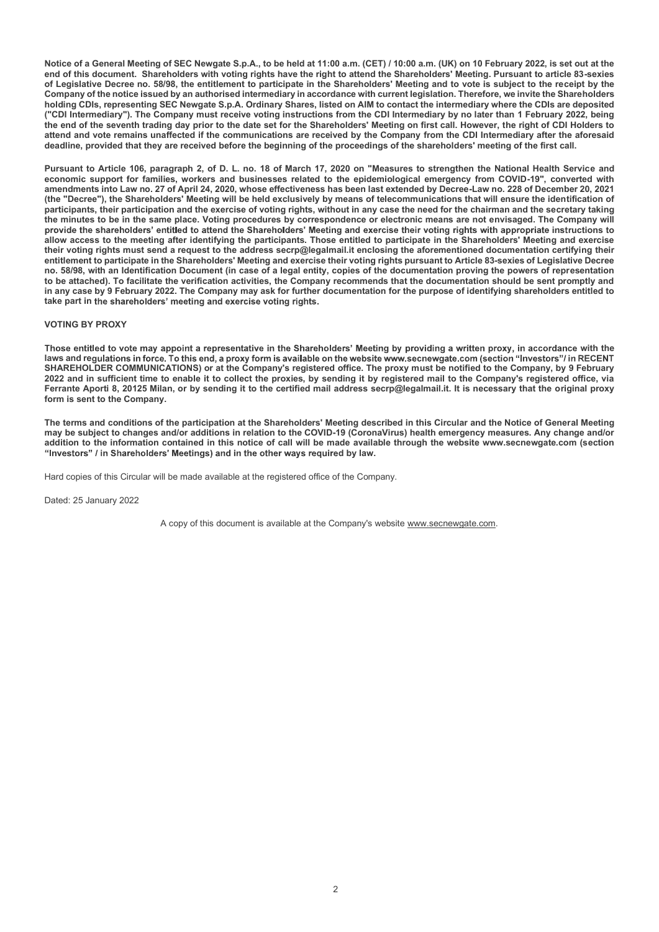Notice of a General Meeting of SEC Newgate S.p.A., to be held at 11:00 a.m. (CET) / 10:00 a.m. (UK) on 10 February 2022, is set out at the shareholders with vorting rights have the right to attend of the Shareholders Meeti Notice of a General Meeting of SEC Newgate S.p.A., to be held at 11:00 a.m. (CET) / 10:00 a.m. (UK) on 10 February 2022, is set out at the<br>end of this document. Shareholders with voting rights have the right to attend the of Legislative Decree no. 58/98, the entitlement to participate in the Shareholders' Meeting and to vote is subject to the receipt by the Company of the notice issued by an authorised intermediary in accordance with current legislation. Therefore, we invite the Shareholders<br>holding CDIs, representing SEC Newgate S.p.A. Ordinary Shares, listed on AIM to conta Notice of a General Meeting of SEC Newgate S.p.A., to be held at 11:00 a.m. (CET) / 10:00 a.m. (UK) on 10 February 2022, is set out at the<br>end of this document. Shareholders with voting rights have the right to attend the Notice of a General Meeting of SEC Newgate S.p.A., to be held at 11:00 a.m. (CET) / 10:00 a.m. (UK) on 10 February 2022, is set out at the<br>end of this document. Shareholders with voting rights have the right to attend the the end of the seventh trading day prior to the date set for the Shareholders' Meeting on first call. However, the right of CDI Holders to attend and vote remains unaffected if the communications are received by the Company from the CDI Intermediary after the aforesaid deadline, provided that they are received before the beginning of the proceedings of the shareholders' meeting of the first call.

Pursuant to Article 106, paragraph 2, of D. L. no. 18 of March 17, 2020 on "Measures to strengthen the National Health Service and economic support for families, workers and businesses related to the epidemiological emergency from COVID-19", converted with amendments into Law no. 27 of April 24, 2020, whose effectiveness has been last extended by Decree-Law no. 228 of December 20, 2021 (the "Decree"), the Shareholders' Meeting will be held exclusively by means of telecommunications that will ensure the identification of participants, their participation and the exercise of voting rights, without in any case the need for the chairman and the secretary taking the minutes to be in the same place. Voting procedures by correspondence or electronic means are not envisaged. The Company will provide the shareholders' entitled to attend the Shareholders' Meeting and exercise their voting rights with appropriate instructions to allow access to the meeting after identifying the participants. Those entitled to participate in the Shareholders' Meeting and exercise their voting rights must send a request to the address secrp@legalmail.it enclosing the aforementioned documentation certifying their entitlement to participate in the Shareholders' Meeting and exercise their voting rights pursuant to Article 83-sexies of Legislative Decree no. 58/98, with an Identification Document (in case of a legal entity, copies of the documentation proving the powers of representation to be attached). To facilitate the verification activities, the Company recommends that the documentation should be sent promptly and<br>in any case by 9 February 2022. The Company may ask for further documentation for the pu Notice of a General Meeting of SEC Newgate S.p.A., to be held at 11:00 a.m. (IET) / 10:00 a.m. (IK) on 10 February 2022, is set out at the<br>end of this document. Shareholders with voting rights have the right to attend the take part in the shareholders' meeting and exercise voting rights. of Legislative Decree in . 8988, the entitlement to participate in the Shareholders' Meeting and to vote is subject to the receiver by the company of the Company's registered office. The company of the company of the compa Company of the noitic issued by an authorised this means of the constants with current legislation. The forestore with the Shareholders<br>(CDI Internetiality). The Company must receive voting instructions from the CDI Intern participans, their participation and the extends to voring mini-with and case the neuro the circular and the company in the company of the same place. Voring procedures by correspondence or electronic means are not the tra

# VOTING BY PROXY

Those entitled to vote may appoint a representative in the Shareholders' Meeting by providing a written proxy, in accordance with the laws and regulations in force. To this end, a proxy form is available on the website www.secnewgate.com (section "Investors"/ in RECENT Ferrante Aporti 8, 20125 Milan, or by sending it to the certified mail address secrp@legalmail.it. It is necessary that the original proxy form is sent to the Company.

The terms and conditions of the participation at the Shareholders' Meeting described in this Circular and the Notice of General Meeting may be subject to changes and/or additions in relation to the COVID-19 (CoronaVirus) health emergency measures. Any change and/or addition to the information contained in this notice of call will be made available through the website www.secnewgate.com (section "Investors" / in Shareholders' Meetings) and in the other ways required by law.

Hard copies of this Circular will be made available at the registered office of the Company.

A copy of this document is available at the Company's website www.secnewgate.com.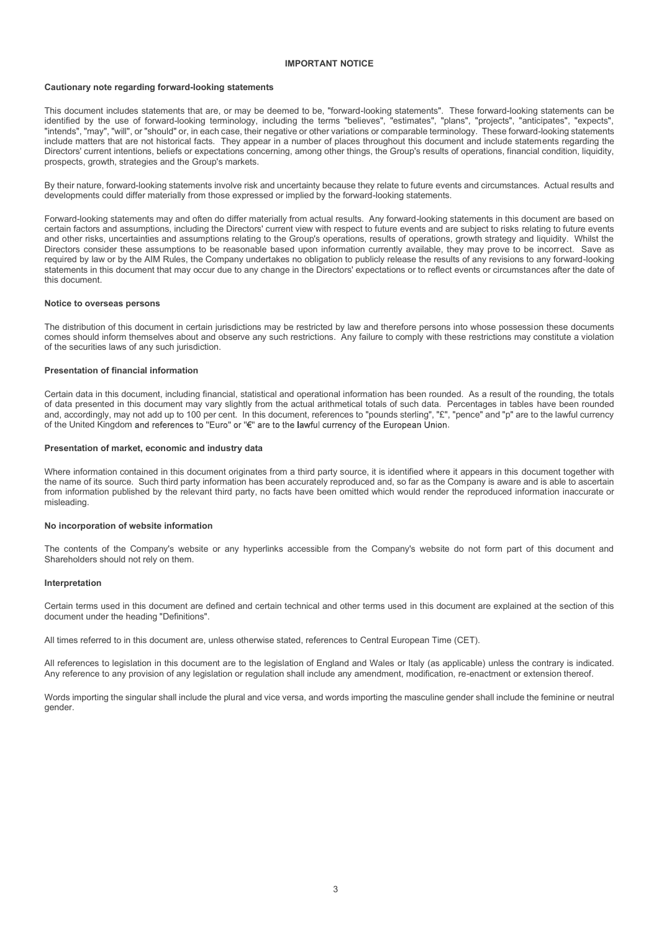# IMPORTANT NOTICE

# Cautionary note regarding forward-looking statements

This document includes statements that are, or may be deemed to be, "forward-looking statements". These forward-looking statements can be identified by the use of forward-looking terminology, including the terms "believes", "estimates", "plans", "projects", "anticipates", "expects", "intends", "may", "will", or "should" or, in each case, their negative or other variations or comparable terminology. These forward-looking statements include matters that are not historical facts. They appear in a number of places throughout this document and include statements regarding the Directors' current intentions, beliefs or expectations concerning, among other things, the Group's results of operations, financial condition, liquidity, prospects, growth, strategies and the Group's markets.

By their nature, forward-looking statements involve risk and uncertainty because they relate to future events and circumstances. Actual results and developments could differ materially from those expressed or implied by the forward-looking statements.

Forward-looking statements may and often do differ materially from actual results. Any forward-looking statements in this document are based on **Cautionary note regarding forward-looking statements**<br>This document includes statements that are, or may be deemed to be, "forward-looking statements", These forward-looking statements can be<br>identified by the use of forw and other risks, uncertainties and assumptions relating to the Group's operations, results of operations, growth strategy and liquidity. Whilst the Directors consider these assumptions to be reasonable based upon information currently available, they may prove to be incorrect. Save as required by law or by the AIM Rules, the Company undertakes no obligation to publicly release the results of any revisions to any forward-looking **IMPORTANT NOTICE**<br>
This document indudes attements that are, or may be deemed to be, "forward-looking attements", These forward-looking statements can be<br>
Triatede, "may", will row "shead "or, may all determines upper in this document. denotied by the use of forward-devicted terminology, from data presente with excellence the presentent of the presentent of places. The presentent including tasks and are the formulate to this document arises that are an t

# Notice to overseas persons

The distribution of this document in certain jurisdictions may be restricted by law and therefore persons into whose possession these documents comes should inform themselves about and observe any such restrictions. Any failure to comply with these restrictions may constitute a violation of the securities laws of any such jurisdiction.

# Presentation of financial information

Certain data in this document, including financial, statistical and operational information has been rounded. As a result of the rounding, the totals of data presented in this document may vary slightly from the actual ari and, accordingly, may not add up to 100 per cent. In this document, references to "pounds sterling", "£", "pence" and "p" are to the lawful currency of the United Kingdom and references to "Euro" or " $E$ " are to the lawful currency of the European Union.

# Presentation of market, economic and industry data

Where information contained in this document originates from a third party source, it is identified where it appears in this document together with the name of its source. Such third party information has been accurately reproduced and, so far as the Company is aware and is able to ascertain from information published by the relevant third party, no facts have been omitted which would render the reproduced information inaccurate or misleading. Presentation of financial information<br>Certain data in this document, including financial, statistical and operational information has been rounded. As a result of the rounding, the totals<br>On data presented in this document

# No incorporation of website information

The contents of the Company's website or any hyperlinks accessible from the Company's website do not form part of this document and Shareholders should not rely on them.

# Interpretation

Certain terms used in this document are defined and certain technical and other terms used in this document are explained at the section of this document under the heading "Definitions".

All references to legislation in this document are to the legislation of England and Wales or Italy (as applicable) unless the contrary is indicated. Any reference to any provision of any legislation or regulation shall include any amendment, modification, re-enactment or extension thereof.

Words importing the singular shall include the plural and vice versa, and words importing the masculine gender shall include the feminine or neutral gender.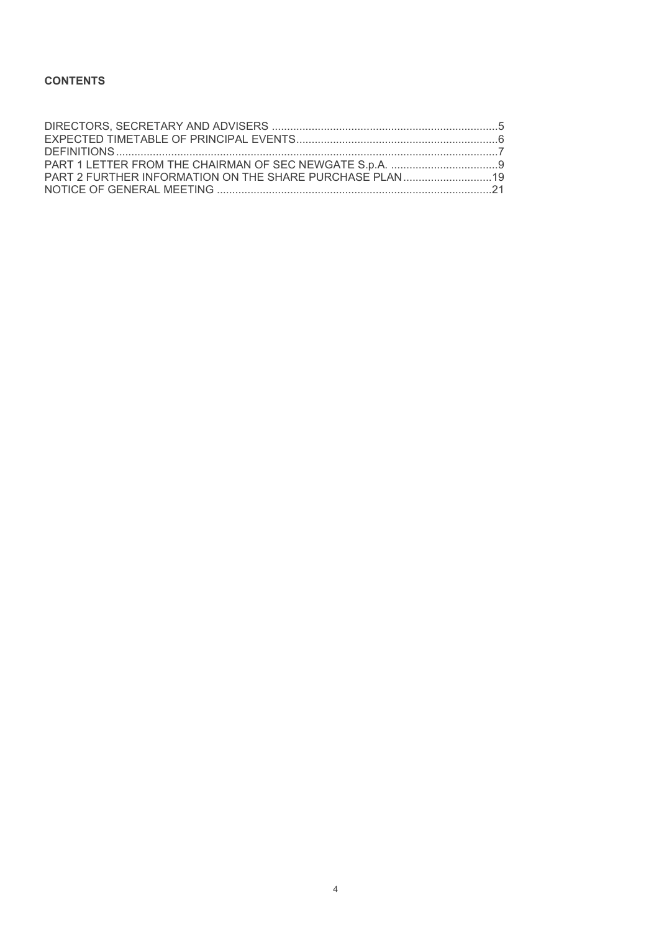# **CONTENTS**

| <b>CONTENTS</b> |  |
|-----------------|--|
|                 |  |
|                 |  |
|                 |  |
|                 |  |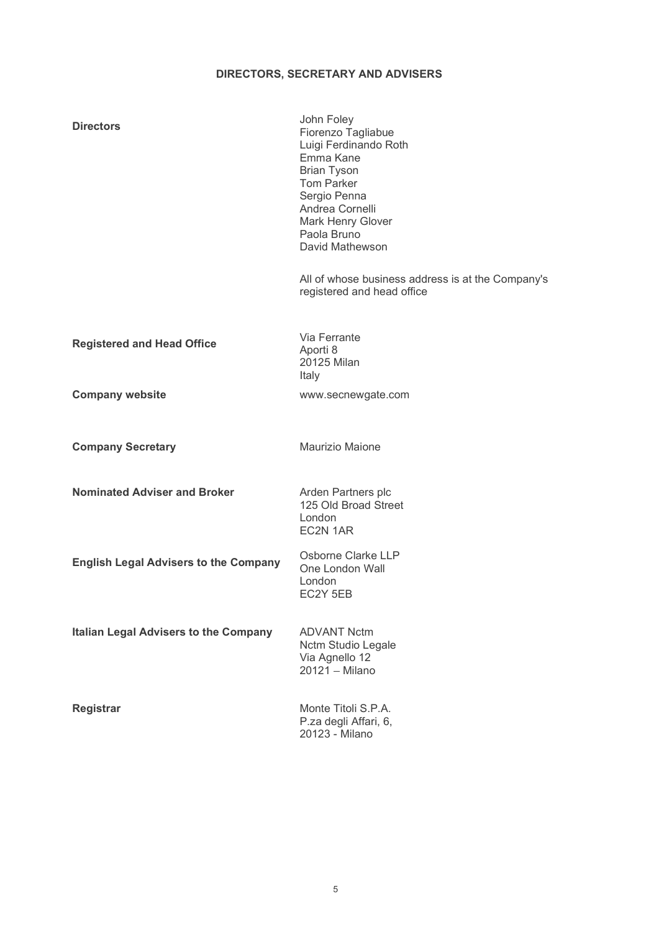# DIRECTORS, SECRETARY AND ADVISERS

| <b>Directors</b>                             | John Foley<br>Fiorenzo Tagliabue<br>Luigi Ferdinando Roth<br>Emma Kane<br><b>Brian Tyson</b><br>Tom Parker<br>Sergio Penna<br>Andrea Cornelli<br>Mark Henry Glover<br>Paola Bruno<br>David Mathewson |
|----------------------------------------------|------------------------------------------------------------------------------------------------------------------------------------------------------------------------------------------------------|
|                                              | All of whose business address is at the Company's<br>registered and head office                                                                                                                      |
| <b>Registered and Head Office</b>            | Via Ferrante<br>Aporti 8<br>20125 Milan<br>Italy                                                                                                                                                     |
| <b>Company website</b>                       | www.secnewgate.com                                                                                                                                                                                   |
| <b>Company Secretary</b>                     | Maurizio Maione                                                                                                                                                                                      |
| <b>Nominated Adviser and Broker</b>          | Arden Partners plc<br>125 Old Broad Street<br>London<br>EC2N 1AR                                                                                                                                     |
| <b>English Legal Advisers to the Company</b> | Osborne Clarke LLP<br>One London Wall<br>London<br>EC2Y 5EB                                                                                                                                          |
| <b>Italian Legal Advisers to the Company</b> | <b>ADVANT Nctm</b><br>Nctm Studio Legale<br>Via Agnello 12<br>20121 - Milano                                                                                                                         |
| Registrar                                    | Monte Titoli S.P.A.<br>P.za degli Affari, 6,<br>20123 - Milano                                                                                                                                       |
|                                              |                                                                                                                                                                                                      |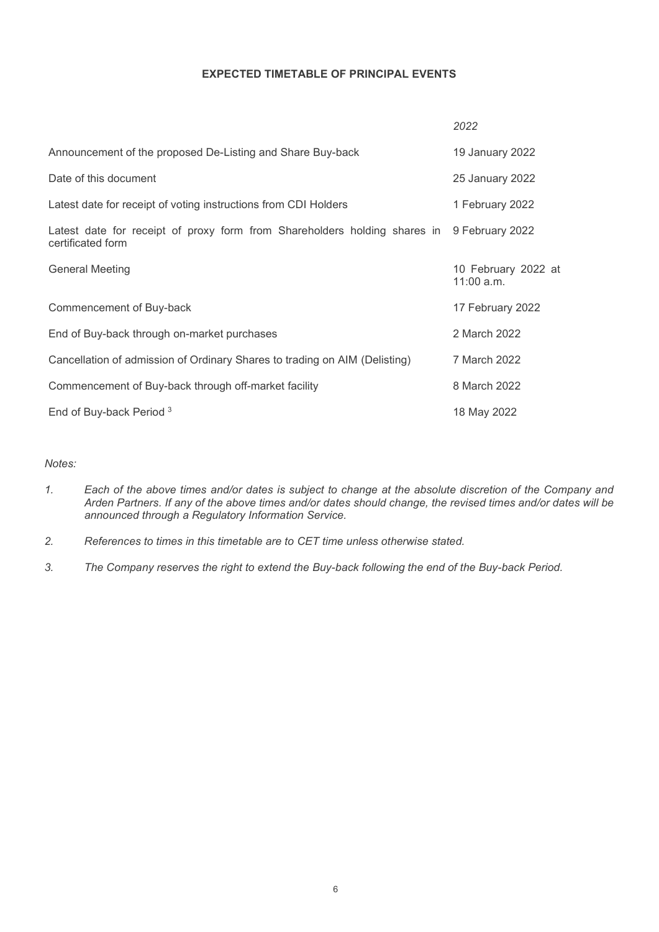# EXPECTED TIMETABLE OF PRINCIPAL EVENTS

|        | <b>EXPECTED TIMETABLE OF PRINCIPAL EVENTS</b>                                                                                                                                                                                                                                  |                                   |
|--------|--------------------------------------------------------------------------------------------------------------------------------------------------------------------------------------------------------------------------------------------------------------------------------|-----------------------------------|
|        |                                                                                                                                                                                                                                                                                | 2022                              |
|        | Announcement of the proposed De-Listing and Share Buy-back                                                                                                                                                                                                                     | 19 January 2022                   |
|        | Date of this document                                                                                                                                                                                                                                                          | 25 January 2022                   |
|        | Latest date for receipt of voting instructions from CDI Holders                                                                                                                                                                                                                | 1 February 2022                   |
|        | Latest date for receipt of proxy form from Shareholders holding shares in<br>certificated form                                                                                                                                                                                 | 9 February 2022                   |
|        | <b>General Meeting</b>                                                                                                                                                                                                                                                         | 10 February 2022 at<br>11:00 a.m. |
|        | Commencement of Buy-back                                                                                                                                                                                                                                                       | 17 February 2022                  |
|        | End of Buy-back through on-market purchases                                                                                                                                                                                                                                    | 2 March 2022                      |
|        | Cancellation of admission of Ordinary Shares to trading on AIM (Delisting)                                                                                                                                                                                                     | 7 March 2022                      |
|        | Commencement of Buy-back through off-market facility                                                                                                                                                                                                                           | 8 March 2022                      |
|        | End of Buy-back Period <sup>3</sup>                                                                                                                                                                                                                                            | 18 May 2022                       |
| Notes: |                                                                                                                                                                                                                                                                                |                                   |
| 1.     | Each of the above times and/or dates is subject to change at the absolute discretion of the Company and<br>Arden Partners. If any of the above times and/or dates should change, the revised times and/or dates will be<br>announced through a Regulatory Information Service. |                                   |
| 2.     | References to times in this timetable are to CET time unless otherwise stated.                                                                                                                                                                                                 |                                   |
| 3.     | The Company reserves the right to extend the Buy-back following the end of the Buy-back Period.                                                                                                                                                                                |                                   |

# Notes:

- announced through a Regulatory Information Service.
- 
-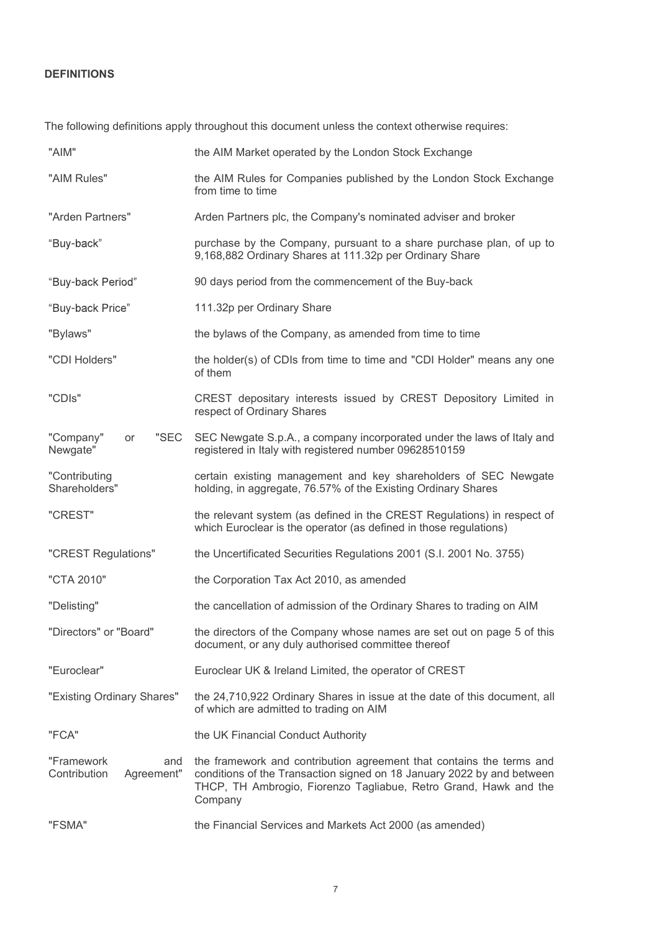# DEFINITIONS

| <b>DEFINITIONS</b>                              |                                                                                                                                                                                                                               |
|-------------------------------------------------|-------------------------------------------------------------------------------------------------------------------------------------------------------------------------------------------------------------------------------|
|                                                 | The following definitions apply throughout this document unless the context otherwise requires:                                                                                                                               |
| "AIM"                                           | the AIM Market operated by the London Stock Exchange                                                                                                                                                                          |
| "AIM Rules"                                     | the AIM Rules for Companies published by the London Stock Exchange<br>from time to time                                                                                                                                       |
| "Arden Partners"                                | Arden Partners plc, the Company's nominated adviser and broker                                                                                                                                                                |
| "Buy-back"                                      | purchase by the Company, pursuant to a share purchase plan, of up to<br>9,168,882 Ordinary Shares at 111.32p per Ordinary Share                                                                                               |
| "Buy-back Period"                               | 90 days period from the commencement of the Buy-back                                                                                                                                                                          |
| "Buy-back Price"                                | 111.32p per Ordinary Share                                                                                                                                                                                                    |
| "Bylaws"                                        | the bylaws of the Company, as amended from time to time                                                                                                                                                                       |
| "CDI Holders"                                   | the holder(s) of CDIs from time to time and "CDI Holder" means any one<br>of them                                                                                                                                             |
| "CDIs"                                          | CREST depositary interests issued by CREST Depository Limited in<br>respect of Ordinary Shares                                                                                                                                |
| "Company"<br>"SEC<br>or<br>Newgate"             | SEC Newgate S.p.A., a company incorporated under the laws of Italy and<br>registered in Italy with registered number 09628510159                                                                                              |
| "Contributing<br>Shareholders"                  | certain existing management and key shareholders of SEC Newgate<br>holding, in aggregate, 76.57% of the Existing Ordinary Shares                                                                                              |
| "CREST"                                         | the relevant system (as defined in the CREST Regulations) in respect of<br>which Euroclear is the operator (as defined in those regulations)                                                                                  |
| "CREST Regulations"                             | the Uncertificated Securities Regulations 2001 (S.I. 2001 No. 3755)                                                                                                                                                           |
| "CTA 2010"                                      | the Corporation Tax Act 2010, as amended                                                                                                                                                                                      |
| "Delisting"                                     | the cancellation of admission of the Ordinary Shares to trading on AIM                                                                                                                                                        |
| "Directors" or "Board"                          | the directors of the Company whose names are set out on page 5 of this<br>document, or any duly authorised committee thereof                                                                                                  |
| "Euroclear"                                     | Euroclear UK & Ireland Limited, the operator of CREST                                                                                                                                                                         |
| "Existing Ordinary Shares"                      | the 24,710,922 Ordinary Shares in issue at the date of this document, all<br>of which are admitted to trading on AIM                                                                                                          |
| "FCA"                                           | the UK Financial Conduct Authority                                                                                                                                                                                            |
| "Framework<br>and<br>Contribution<br>Agreement" | the framework and contribution agreement that contains the terms and<br>conditions of the Transaction signed on 18 January 2022 by and between<br>THCP, TH Ambrogio, Fiorenzo Tagliabue, Retro Grand, Hawk and the<br>Company |
| "FSMA"                                          | the Financial Services and Markets Act 2000 (as amended)                                                                                                                                                                      |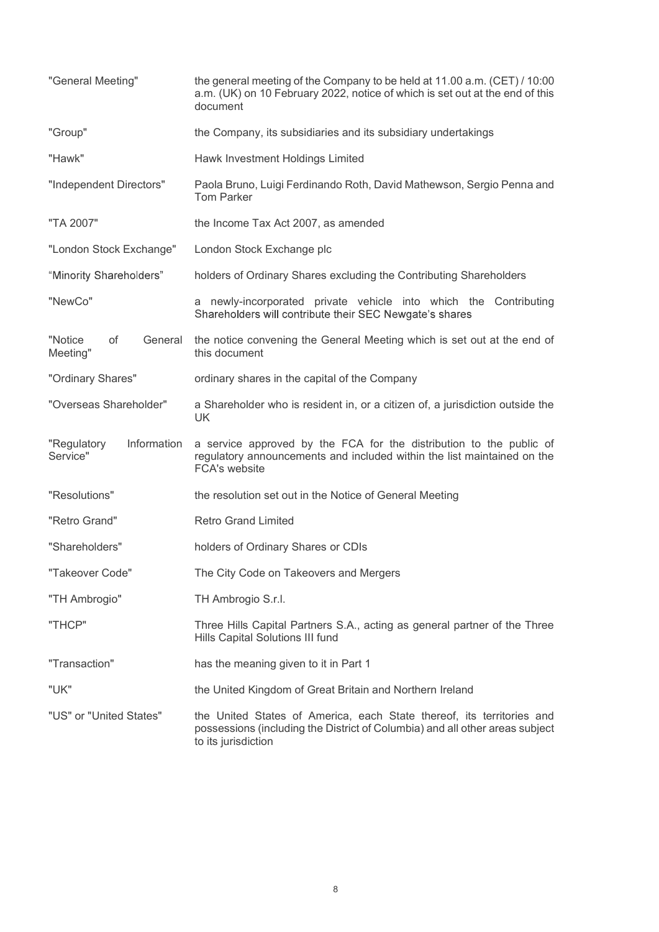| "General Meeting"                      | the general meeting of the Company to be held at 11.00 a.m. (CET) / 10:00<br>a.m. (UK) on 10 February 2022, notice of which is set out at the end of this<br>document        |
|----------------------------------------|------------------------------------------------------------------------------------------------------------------------------------------------------------------------------|
| "Group"                                | the Company, its subsidiaries and its subsidiary undertakings                                                                                                                |
| "Hawk"                                 | Hawk Investment Holdings Limited                                                                                                                                             |
| "Independent Directors"                | Paola Bruno, Luigi Ferdinando Roth, David Mathewson, Sergio Penna and<br><b>Tom Parker</b>                                                                                   |
| "TA 2007"                              | the Income Tax Act 2007, as amended                                                                                                                                          |
| "London Stock Exchange"                | London Stock Exchange plc                                                                                                                                                    |
| "Minority Shareholders"                | holders of Ordinary Shares excluding the Contributing Shareholders                                                                                                           |
| "NewCo"                                | a newly-incorporated private vehicle into which the Contributing<br>Shareholders will contribute their SEC Newgate's shares                                                  |
| "Notice<br>of<br>General<br>Meeting"   | the notice convening the General Meeting which is set out at the end of<br>this document                                                                                     |
| "Ordinary Shares"                      | ordinary shares in the capital of the Company                                                                                                                                |
| "Overseas Shareholder"                 | a Shareholder who is resident in, or a citizen of, a jurisdiction outside the<br>UK                                                                                          |
| "Regulatory<br>Information<br>Service" | a service approved by the FCA for the distribution to the public of<br>regulatory announcements and included within the list maintained on the<br>FCA's website              |
| "Resolutions"                          | the resolution set out in the Notice of General Meeting                                                                                                                      |
| "Retro Grand"                          | <b>Retro Grand Limited</b>                                                                                                                                                   |
| "Shareholders"                         | holders of Ordinary Shares or CDIs                                                                                                                                           |
| "Takeover Code"                        | The City Code on Takeovers and Mergers                                                                                                                                       |
| "TH Ambrogio"                          | TH Ambrogio S.r.l.                                                                                                                                                           |
| "THCP"                                 | Three Hills Capital Partners S.A., acting as general partner of the Three<br>Hills Capital Solutions III fund                                                                |
| "Transaction"                          | has the meaning given to it in Part 1                                                                                                                                        |
| "UK"                                   | the United Kingdom of Great Britain and Northern Ireland                                                                                                                     |
| "US" or "United States"                | the United States of America, each State thereof, its territories and<br>possessions (including the District of Columbia) and all other areas subject<br>to its jurisdiction |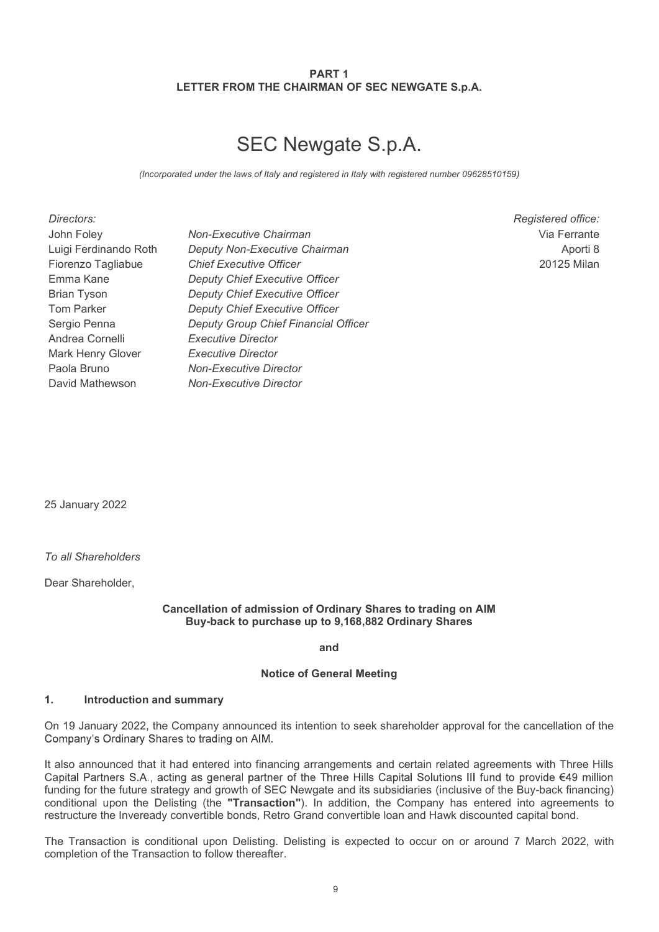# PART 1 PART 1<br>LETTER FROM THE CHAIRMAN OF SEC NEWGATE S.p.A.<br>SEC Newgate S.p.A.

# SEC Newgate S.p.A.

| PART <sub>1</sub><br>LETTER FROM THE CHAIRMAN OF SEC NEWGATE S.p.A.<br><b>SEC Newgate S.p.A.</b><br>(Incorporated under the laws of Italy and registered in Italy with registered number 09628510159)<br>Directors:<br>Registered office:<br>John Foley<br>Non-Executive Chairman<br>Via Ferrante<br>Luigi Ferdinando Roth<br>Deputy Non-Executive Chairman<br>Aporti 8<br><b>Chief Executive Officer</b><br>Fiorenzo Tagliabue<br>20125 Milan<br>Emma Kane<br><b>Deputy Chief Executive Officer</b><br><b>Deputy Chief Executive Officer</b><br><b>Brian Tyson</b><br><b>Deputy Chief Executive Officer</b><br>Tom Parker<br>Sergio Penna<br>Deputy Group Chief Financial Officer<br>Andrea Cornelli<br><b>Executive Director</b><br>Mark Henry Glover<br><b>Executive Director</b><br>Paola Bruno<br><b>Non-Executive Director</b><br>David Mathewson<br><b>Non-Executive Director</b> |  |  |
|------------------------------------------------------------------------------------------------------------------------------------------------------------------------------------------------------------------------------------------------------------------------------------------------------------------------------------------------------------------------------------------------------------------------------------------------------------------------------------------------------------------------------------------------------------------------------------------------------------------------------------------------------------------------------------------------------------------------------------------------------------------------------------------------------------------------------------------------------------------------------------------|--|--|
|                                                                                                                                                                                                                                                                                                                                                                                                                                                                                                                                                                                                                                                                                                                                                                                                                                                                                          |  |  |
|                                                                                                                                                                                                                                                                                                                                                                                                                                                                                                                                                                                                                                                                                                                                                                                                                                                                                          |  |  |
|                                                                                                                                                                                                                                                                                                                                                                                                                                                                                                                                                                                                                                                                                                                                                                                                                                                                                          |  |  |
| 25 January 2022<br>To all Shareholders                                                                                                                                                                                                                                                                                                                                                                                                                                                                                                                                                                                                                                                                                                                                                                                                                                                   |  |  |
|                                                                                                                                                                                                                                                                                                                                                                                                                                                                                                                                                                                                                                                                                                                                                                                                                                                                                          |  |  |
|                                                                                                                                                                                                                                                                                                                                                                                                                                                                                                                                                                                                                                                                                                                                                                                                                                                                                          |  |  |

Dear Shareholder,

# Cancellation of admission of Ordinary Shares to trading on AIM Buy-back to purchase up to 9,168,882 Ordinary Shares

and

# Notice of General Meeting

25 January 2022<br>
1. To all Shareholders<br>
Dear Shareholder,<br>
Cancellation of admission of Ordinary Shares to tradie<br>
Buy-back to purchase up to 9,168,882 Ordinary Shares<br>
2. The Company announced its intention to seek share On 19 January 2022, the Company announced its intention to seek shareholder approval for the cancellation of the

25 January 2022<br>
To all Shareholder,<br>
Cancellation of admission of Ordinary Shares to trading on AIM<br>
Buy-back to purchase up to 9,168,882 Ordinary Shares<br>
and<br>
1. Introduction and summary<br>
On 19 January 2022, the Company Capital Partners S.A., acting as general partner of the Three Hills Capital Solutions III fund to provide €49 million funding for the future strategy and growth of SEC Newgate and its subsidiaries (inclusive of the Buy-back financing)<br>conditional upon the Delisting (the "Transaction"). In addition, the Company has entered into agreements To all Shareholders<br>
Dear Shareholder,<br>
Cancellation of admission of Ordinary Shares to trading on AIM<br>
Buy-back to purchase up to 9,168,882 Ordinary Shares<br>
and<br>
Notice of General Meeting<br>
1. Introduction and summary<br>
On restructure the Inveready convertible bonds, Retro Grand convertible loan and Hawk discounted capital bond. To all Shareholders<br>
Cear Shareholder,<br>
Cancellation of admission of Ordinary Shares to trading on AIM<br>
Buy-back to purchase up to 9,168,882 Ordinary Shares<br>
and<br>
Motice of General Meeting<br>
1. Introduction and summary<br>
On

completion of the Transaction to follow thereafter.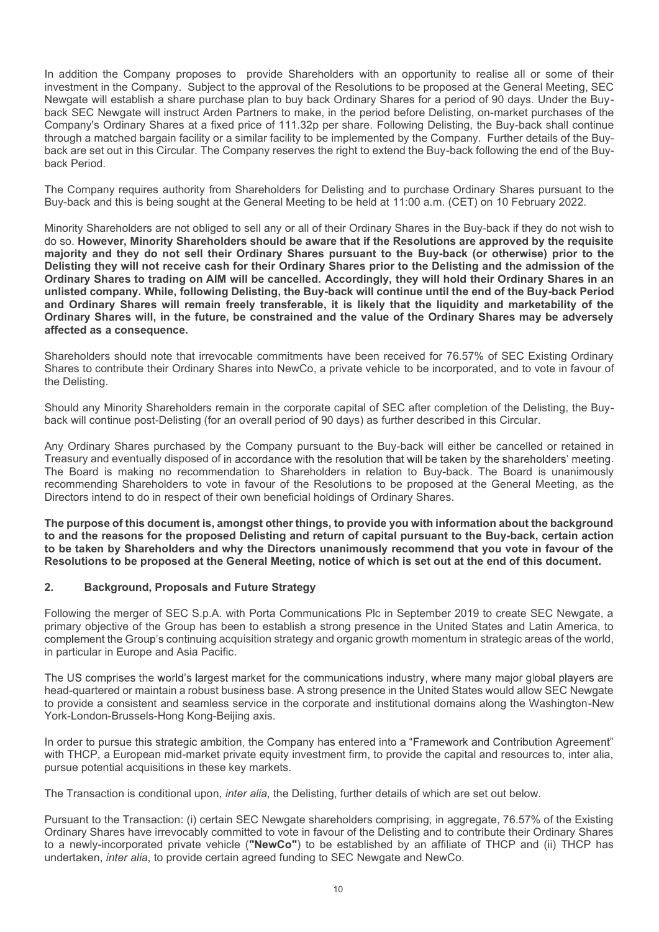In addition the Company proposes to provide Shareholders with an opportunity to realise all or some of their In addition the Company proposes to provide Shareholders with an opportunity to realise all or some of their investment in the Company. Subject to the approval of the Resolutions to be proposed at the General Meeting, SEC Newgate will establish a share purchase plan to buy back Ordinary Shares for a period of 90 days. Under the Buyback SEC Newgate will instruct Arden Partners to make, in the period before Delisting, on-market purchases of the Company's Ordinary Shares at a fixed price of 111.32p per share. Following Delisting, the Buy-back shall continue In addition the Company proposes to provide Shareholders with an opportunity to realise all or some of their<br>investment in the Company. Subject to the approval of the Resolutions to be proposed at the General Meeting, SEC<br> In addition the Company proposes to provide Shareholders with an opportunity to realise all or some of their investment in the Company. Subject to the approval of the Resolutions to be proposed at the General Meeting, SEC<br> In addition the Company proposes to provide Shareholders with an opportinvestment in the Company. Subject to the approval of the Resolutions to be pr<br>Newgate will establish a share purchase plan to buy back Ordinary Shares In addition the Company proposes to provide Shareholders with an opportunity to realise all or some of their investment in the Company. Subject to the approval of the Resolutions to be proposed at the General Meeting, SEC In addition the Company proposes to provide Shareholders with an opportunity to realise all or some of their investment in the Company. Subject to the approval of the Resolutions to be proposed at the General Meeting, SEC In addition the Company proposes to provide Shareholders with an opportunity to realise all or some of their investment in the Company. Subject to the approval of the Resolutions to be proposed at the General Meeting, SEC In addition the Company proposes to provide Shareholders with an opportunity to realise all or some of their investment in the Company. Subject to the approval of the Resolutions to be proposed at the General Meeting, SEC.

In addition the Company proposes to provide Shareholders with an opportunity to realise all or some of their investment in the Company. Subject to the approval of the Resolutions to be proposed at the General Meeting, SEC In addition the Company proposes to provide Shareholders with an opportunity to realise all or some of their three<br>Newstere this tests in share purchase plan to buy back Ordinary Shares for a perciod of 90 days. Under the In addition the Company proposes to provide Shareholders with an opportunity to realise all or some of their investment in the Company. Subject to the approval of the Resolutions to be proposed at the General Meeting, SEC In addition the Company proposes to provide Shareholders with an opportunity to realise all or some of their<br>the westment in the Company. Subject to the approval of the Resolutions to be proposed at the General Meeting, SE and Ordinary Shares will remain freely transferable, it is likely that the liquidity and marketability of the Ordinary Shares will, in the future, be constrained and the value of the Ordinary Shares may be adversely affected as a consequence. investment in the Company. Subject to the Resolutions to be proposed at the General Meeling, SEC allows the NewCo, a private to the Sup-<br>back SEC Newqate will restruct Arden Partners to make, in the period before Delisting back Period.<br>The Company requires authority from Shareholders for Delisting and to purchase Ordinary Shares pursuant to the<br>Buy-back and this is being sought at the General Meeting to be held at 1:00 a.m. (CET) on 10 Febru The Company requires authority from Shareholders for Delisting and to purchase Ordinary Shares pursuant to the Buy-back and this is being sought at the General Meeting to be held at 11:00 a.m. (CET) on 10 February 2022.<br>Mi Buy-back and this is being sought at the General Meeting to be hield at 11:00 a.m. (CET) on 10 February 2022.<br>Minority Shareholders are not obliged to sell any or all of their Ordinary Shares in the Buy-back if they do not Minority Shareholders are not obliged to sell any or all of their Ordinary Shares in the Buy-back if they do not wish to<br>do so showever, Minority Shareholders should be awere that if the Resolutions are approved by the req majority and they do not sell their Ordinary Shares pursuant to the Buy-back (or otherwise) prior to the Disting and the admission of the Delisting and the and Definary Shares brian to the Delisting and the admission of th Ordinary Shares to trading on All will be cancelled. Accordingly, they will hold their Ordinary Shares in an<br>unlisted company. While, following Delisting, the Buy-back will continue until the end of the Buy-back Period<br>and

Shareholders should note that irrevocable commitments have been received for 76.57% of SEC Existing Ordinary the Delisting.

Should any Minority Shareholders remain in the corporate capital of SEC after completion of the Delisting, the Buyback will continue post-Delisting (for an overall period of 90 days) as further described in this Circular.

and Ordinary Shares will remain freely transferable, it is likely that the liquidity and retained Ordinary Shares will, in the future, be constrained and the value of the Ordinary Shares differed as a consequence.<br>
Shareho

The purpose of this document is, amongst other things, to provide you with information about the background to be taken by Shareholders and why the Directors unanimously recommend that you vote in favour of the

Following the merger of SEC S.p.A. with Porta Communications Plc in September 2019 to create SEC Newgate, a primary objective of the Group has been to establish a strong presence in the United States and Latin America, to complement the Group's continuing acquisition strategy and organic growth momentum in strategic areas of the world, in particular in Europe and Asia Pacific.

head-quartered or maintain a robust business base. A strong presence in the United States would allow SEC Newgate to provide a consistent and seamless service in the corporate and institutional domains along the Washington-New York-London-Brussels-Hong Kong-Beijing axis. **Example 12**<br> **Example 12019 to create SEC N.P.A. with Porta Communications Plc in September 2019 to create SEC N.<br>
Figure 2019 to create SEC S.p.A. with Porta Communications Plc in September 2019 to create SEC N.<br>
Figure** 

In order to pursue this strategic ambition, the Company has entered into a "Framework and Contribution Agreement" with THCP, a European mid-market private equity investment firm, to provide the capital and resources to, inter alia, pursue potential acquisitions in these key markets.

The Transaction is conditional upon, *inter alia*, the Delisting, further details of which are set out below.

Pursuant to the Transaction: (i) certain SEC Newgate shareholders comprising, in aggregate, 76.57% of the Existing Ordinary Shares have irrevocably committed to vote in favour of the Delisting and to contribute their Ordinary Shares to a newly-incorporated private vehicle ("NewCo") to be established by an affiliate of THCP and (ii) THCP has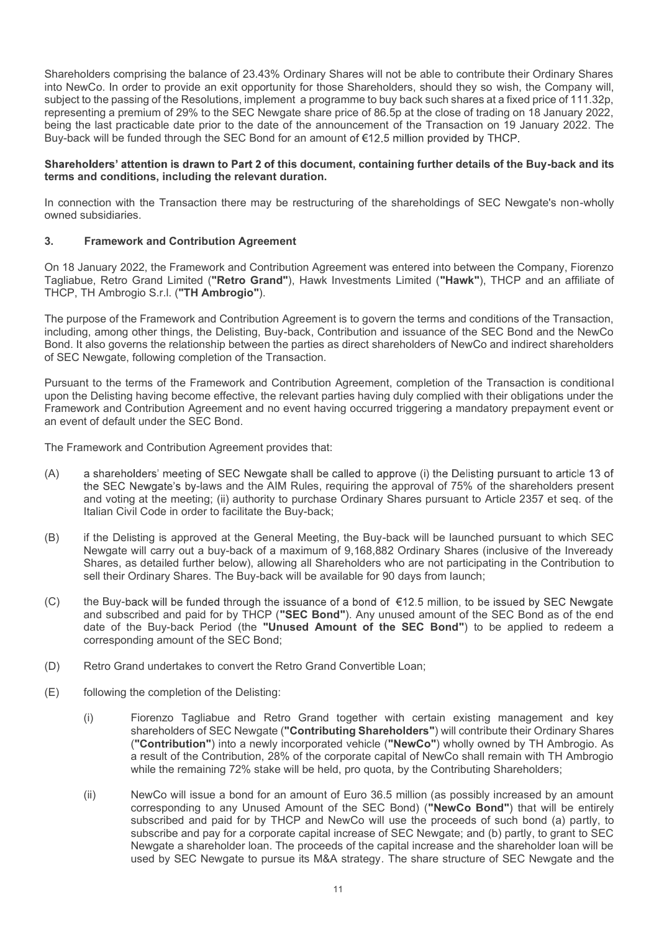Shareholders comprising the balance of 23.43% Ordinary Shares will not be able to contribute their Ordinary Shares into NewCo. In order to provide an exit opportunity for those Shareholders, should they so wish, the Company will, subject to the passing of the Resolutions, implement a programme to buy back such shares at a fixed price of 111.32p, representing a premium of 29% to the SEC Newgate share price of 86.5p at the close of trading on 18 January 2022, Shareholders comprising the balance of 23.43% Ordinary Shares will not be able to contribute their Ordinary Shares into NewCo. In order to provide an exit opportunity for those Shareholders, should they so wish, the Compan Buy-back will be funded through the SEC Bond for an amount of €12.5 million provided by THCP. Shareholders comprising the balance of 23.43% Ordinary Shares will not be able sinto NewCo. In order to provide an exit opportunity for those Shareholders, shoul subject to the passing of the Resolutions, implement a prog

# Shareholders' attention is drawn to Part 2 of this document, containing further details of the Buy-back and its terms and conditions, including the relevant duration.

In connection with the Transaction there may be restructuring of the shareholdings of SEC Newgate's non-wholly owned subsidiaries.

On 18 January 2022, the Framework and Contribution Agreement was entered into between the Company, Fiorenzo Tagliabue, Retro Grand Limited ("Retro Grand"), Hawk Investments Limited ("Hawk"), THCP and an affiliate of THCP, TH Ambrogio S.r.l. ("TH Ambrogio").

The purpose of the Framework and Contribution Agreement is to govern the terms and conditions of the Transaction, including, among other things, the Delisting, Buy-back, Contribution and issuance of the SEC Bond and the NewCo Bond. It also governs the relationship between the parties as direct shareholders of NewCo and indirect shareholders of SEC Newgate, following completion of the Transaction. ction there may be restructuring of the shareholdings of SEC Newgate's non-wholly<br>
ribution Agreement<br>
ework and Contribution Agreement was entered into between the Company, Fiorenzo<br>
("("Retro Grand"), Hawk Investments Li On 18 January 2022, the Framework and Contribution Agreement was entered into between the Company, Fiorenzo<br>Tagliabue, Retro Grand Limited ("Retro Grand"), Hawk Investments Limited ("Hawk"), THCP and an affiliate of<br>THCP, ie, Retio Grand Limited ("Retro Grand"), Hawk Investments Limited ("Hawk"), THCP and an affiliate of<br>TH Ambrogio Sr.I. ("TH Ambrogio").<br>
TH Ambrogio Sr.I. ("TH Ambrogio").<br>
The Densiting, Buy-back, Contribution and issuanc

Pursuant to the terms of the Framework and Contribution Agreement, completion of the Transaction is conditional upon the Delisting having become effective, the relevant parties having duly complied with their obligations under the Framework and Contribution Agreement and no event having occurred triggering a mandatory prepayment event or an event of default under the SEC Bond.

The Framework and Contribution Agreement provides that:

- (A) a shareholders' meeting of SEC Newgate shall be called to approve (i) the Delisting pursuant to article 13 of and voting at the meeting; (ii) authority to purchase Ordinary Shares pursuant to Article 2357 et seq. of the Italian Civil Code in order to facilitate the Buy-back;
- Newgate will carry out a buy-back of a maximum of 9,168,882 Ordinary Shares (inclusive of the Inveready Shares, as detailed further below), allowing all Shareholders who are not participating in the Contribution to
- TH Ambrogio S.r.I. ("TH **Ambrogio**").<br>
Shares of the Francesork and Contribution Agreement is to govern the terms and conditions of the Transaction,<br>
D.e., a smortgother things, the Delisting, Buy-back, Contribution and is The purpose of the Framework and Contribution Agreement is to govern the terms<br>including, among other things, the Delisting, Buy-back, Contribution and issuance<br>fiscult at laso governs the relationship between the parties and subscribed and paid for by THCP ("SEC Bond"). Any unused amount of the SEC Bond as of the end date of the Buy-back Period (the "Unused Amount of the SEC Bond") to be applied to redeem a corresponding amount of the SEC Bond; Fursuant to the terms of the Framework and Contribution Agreement, completion of the Transactory and Contribution Agreement and no event having occurred triggering a mandatory propertion of the Transwork and Contribution A Framework and Contribution Agreement and no event having occurred triggering<br>
an event of default under the SEC Bond.<br>
The Framework and Contribution Agreement provides that:<br>
(A) a shareholders' meeting of SEC Newgate sh
- 
- 
- mework and Contribution Agreement provides that:<br>
a shareholders' meeting of SEC Newgate shall be called to approval of 75% of the shareholders present<br>
the SEC Newgate's by-laws and the AIM Rules, requiring the approval o shareholders of SEC Newgate ("Contributing Shareholders") will contribute their Ordinary Shares ("Contribution") into a newly incorporated vehicle ("NewCo") wholly owned by TH Ambrogio. As a result of the Contribution, 28% of the corporate capital of NewCo shall remain with TH Ambrogio while the remaining 72% stake will be held, pro quota, by the Contributing Shareholders;
- Italian Civil Code in order to facilitate the Buy-back;<br>
if the Delisting, the Buy-back will be launched pursuant to which SEC<br>
if the Delisting is approved at the General Meeting, the Buy-back will be launched pursuant to corresponding to any Unused Amount of the SEC Bond) ("NewCo Bond") that will be entirely subscribed and paid for by THCP and NewCo will use the proceeds of such bond (a) partly, to subscribe and pay for a corporate capital increase of SEC Newgate; and (b) partly, to grant to SEC Newgate a shareholder loan. The proceeds of the capital increase and the shareholder loan will be Drdinary Shares. The Buy-back will be available for 90 days from launch;<br>ack will be funded through the issuance of a bond of  $\epsilon$ 12.5 million, to be issued by SEC Newgate<br>tributed and paid for by THCP ("**SEC Bond"**). Any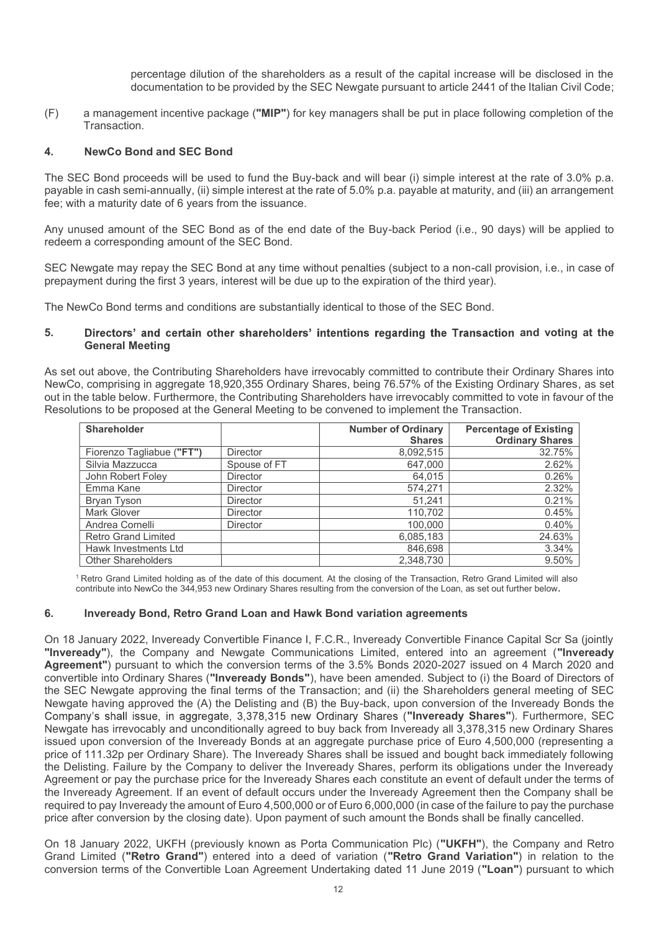percentage dilution of the shareholders as a result of the capital increase will be disclosed in the documentation to be provided by the SEC Newgate pursuant to article 2441 of the Italian Civil Code;

expecting that the shareholders as a result of the capital increase will be disclosed in the<br>documentation to be provided by the SEC Newgate pursuant to article 2441 of the Italian Civil Code;<br>a management incentive packag Transaction.

percentage dilution of the shareholders as a result of the capite<br>documentation to be provided by the SEC Newgate pursuant to a<br>a management incentive package ("MIP") for key managers shall be put in<br>Transaction.<br>4. NewCo The SEC Bond proceeds will be used to fund the Buy-back and will bear (i) simple interest at the rate of 3.0% p.a. payable in cash semi-annually, (ii) simple interest at the rate of 5.0% p.a. payable at maturity, and (iii) an arrangement fee; with a maturity date of 6 years from the issuance. percentage dilution of the shareholders as a result of the capital increase will be disclosed in the<br>documentation to be provided by the SEC Newgate pursuant to article 2441 of the Italian Civil Code;<br>Transaction.<br>**4.** New

# 5. Directors' and certain other shareholders' intentions regarding the Transaction and voting at the General Meeting

|    | Any unused amount of the SEC Bond as of the end date of the Buy-back Period (i.e., 90 days) will be applied to<br>redeem a corresponding amount of the SEC Bond.                                                          |              |                                                                                                                 |                                  |
|----|---------------------------------------------------------------------------------------------------------------------------------------------------------------------------------------------------------------------------|--------------|-----------------------------------------------------------------------------------------------------------------|----------------------------------|
|    | SEC Newgate may repay the SEC Bond at any time without penalties (subject to a non-call provision, i.e., in case of<br>prepayment during the first 3 years, interest will be due up to the expiration of the third year). |              |                                                                                                                 |                                  |
|    | The NewCo Bond terms and conditions are substantially identical to those of the SEC Bond.                                                                                                                                 |              |                                                                                                                 |                                  |
| 5. | <b>General Meeting</b>                                                                                                                                                                                                    |              | Directors' and certain other shareholders' intentions regarding the Transaction and voting at the               |                                  |
|    |                                                                                                                                                                                                                           |              |                                                                                                                 |                                  |
|    | out in the table below. Furthermore, the Contributing Shareholders have irrevocably committed to vote in favour of the<br>Resolutions to be proposed at the General Meeting to be convened to implement the Transaction.  |              | NewCo, comprising in aggregate 18,920,355 Ordinary Shares, being 76.57% of the Existing Ordinary Shares, as set |                                  |
|    | Shareholder                                                                                                                                                                                                               |              | <b>Number of Ordinary</b><br><b>Shares</b>                                                                      | <b>Percentage of Existing</b>    |
|    | Fiorenzo Tagliabue ("FT")                                                                                                                                                                                                 | Director     | 8,092,515                                                                                                       | <b>Ordinary Shares</b><br>32.75% |
|    | Silvia Mazzucca                                                                                                                                                                                                           | Spouse of FT | 647,000                                                                                                         | 2.62%                            |
|    | John Robert Foley                                                                                                                                                                                                         | Director     | 64,015                                                                                                          | 0.26%                            |
|    | Emma Kane                                                                                                                                                                                                                 | Director     | 574,271                                                                                                         | 2.32%                            |
|    | <b>Bryan Tyson</b>                                                                                                                                                                                                        | Director     | 51,241                                                                                                          | 0.21%                            |
|    | Mark Glover                                                                                                                                                                                                               | Director     | 110,702                                                                                                         | 0.45%                            |
|    | Andrea Cornelli                                                                                                                                                                                                           | Director     | 100,000                                                                                                         | 0.40%                            |
|    | <b>Retro Grand Limited</b>                                                                                                                                                                                                |              | 6,085,183                                                                                                       | 24.63%                           |
|    | Hawk Investments Ltd<br><b>Other Shareholders</b>                                                                                                                                                                         |              | 846,698<br>2,348,730                                                                                            | 3.34%<br>9.50%                   |

On 18 January 2022, Inveready Convertible Finance I, F.C.R., Inveready Convertible Finance Capital Scr Sa (jointly "Inveready"), the Company and Newgate Communications Limited, entered into an agreement ("Inveready Agreement") pursuant to which the conversion terms of the 3.5% Bonds 2020-2027 issued on 4 March 2020 and convertible into Ordinary Shares ("Inveready Bonds"), have been amended. Subject to (i) the Board of Directors of the SEC Newgate approving the final terms of the Transaction; and (ii) the Shareholders general meeting of SEC Newgate having approved the (A) the Delisting and (B) the Buy-back, upon conversion of the Inveready Bonds the Company's shall issue, in aggregate, 3,378,315 new Ordinary Shares ("Inveready Shares"). Furthermore, SEC Newgate has irrevocably and unconditionally agreed to buy back from Inveready all 3,378,315 new Ordinary Shares issued upon conversion of the Inveready Bonds at an aggregate purchase price of Euro 4,500,000 (representing a price of 111.32p per Ordinary Share). The Inveready Shares shall be issued and bought back immediately following the Delisting. Failure by the Company to deliver the Inveready Shares, perform its obligations under the Inveready Agreement or pay the purchase price for the Inveready Shares each constitute an event of default under the terms of the Inveready Agreement. If an event of default occurs under the Inveready Agreement then the Company shall be required to pay Inveready the amount of Euro 4,500,000 or of Euro 6,000,000 (in case of the failure to pay the purchase price after conversion by the closing date). Upon payment of such amount the Bonds shall be finally cancelled.

On 18 January 2022, UKFH (previously known as Porta Communication Plc) ("UKFH"), the Company and Retro Grand Limited ("Retro Grand") entered into a deed of variation ("Retro Grand Variation") in relation to the conversion terms of the Convertible Loan Agreement Undertaking dated 11 June 2019 ("Loan") pursuant to which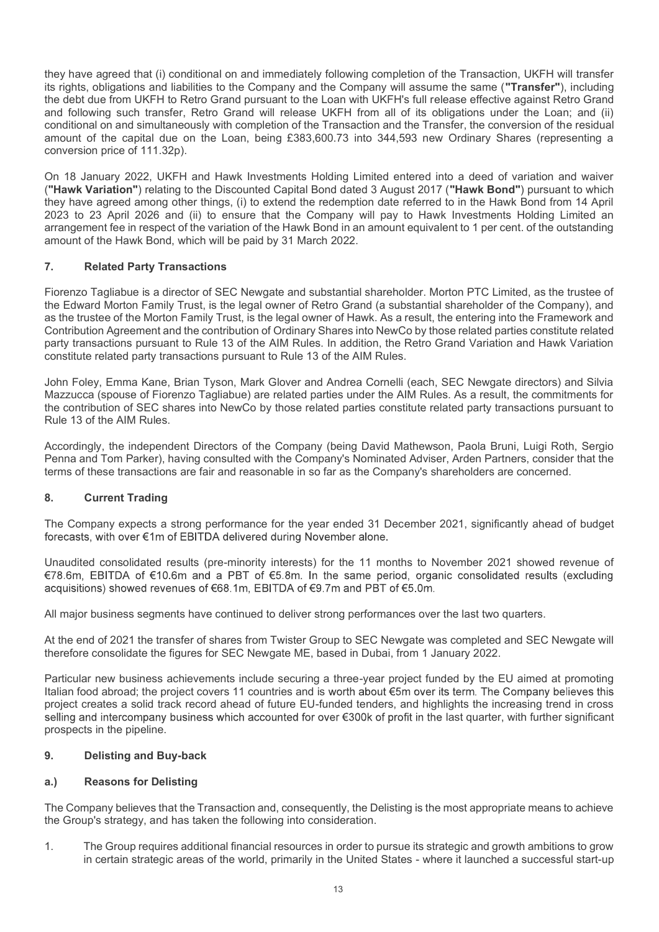they have agreed that (i) conditional on and immediately following completion of the Transaction, UKFH will transfer its rights, obligations and liabilities to the Company and the Company will assume the same ("Transfer"), including the debt due from UKFH to Retro Grand pursuant to the Loan with UKFH's full release effective against Retro Grand and following such transfer, Retro Grand will release UKFH from all of its obligations under the Loan; and (ii) conditional on and simultaneously with completion of the Transaction and the Transfer, the conversion of the residual amount of the capital due on the Loan, being £383,600.73 into 344,593 new Ordinary Shares (representing a conversion price of 111.32p). they have agreed that (i) conditional on and immediately following completion of the Transaction, UKFH will transfer<br>its rights, obligations and liabilities to the Company and the Company will assume the same ("Transfer"), they have agreed that (i) conditional on and immediately following completion of the deta from UKFH to Retro Grand pursuant to the Loan with UKFH's full release did due from and following such transfer, Retro Grand will re they have agreed that (i) conditional on and immediately following completion of the Transaction, UKFH will transfer<br>is rights, obligations and liabilities to the Company and the Company will assume the same (**"Transfer"**)

On 18 January 2022, UKFH and Hawk Investments Holding Limited entered into a deed of variation and waiver ("Hawk Variation") relating to the Discounted Capital Bond dated 3 August 2017 ("Hawk Bond") pursuant to which they have agreed among other things, (i) to extend the redemption date referred to in the Hawk Bond from 14 April arrangement fee in respect of the variation of the Hawk Bond in an amount equivalent to 1 per cent. of the outstanding amount of the Hawk Bond, which will be paid by 31 March 2022.

Fiorenzo Tagliabue is a director of SEC Newgate and substantial shareholder. Morton PTC Limited, as the trustee of the Edward Morton Family Trust, is the legal owner of Retro Grand (a substantial shareholder of the Company), and as the trustee of the Morton Family Trust, is the legal owner of Hawk. As a result, the entering into the Framework and party transactions pursuant to Rule 13 of the AIM Rules. In addition, the Retro Grand Variation and Hawk Variation constitute related party transactions pursuant to Rule 13 of the AIM Rules. 2023 to 23<sup>7</sup>April 2028<sup>2</sup> and (ii) to ensure that the Company will pay to Hawkaranangement fee in respect of the variation of the Hawk Bond in an amount equivale<br>amount of the Hawk Bond, which will be paid by 31 March 202

John Foley, Emma Kane, Brian Tyson, Mark Glover and Andrea Cornelli (each, SEC Newgate directors) and Silvia Mazzucca (spouse of Fiorenzo Tagliabue) are related parties under the AIM Rules. As a result, the commitments for the contribution of SEC shares into NewCo by those related parties constitute related party transactions pursuant to Rule 13 of the AIM Rules.

Accordingly, the independent Directors of the Company (being David Mathewson, Paola Bruni, Luigi Roth, Sergio Penna and Tom Parker), having consulted with the Company's Nominated Adviser, Arden Partners, consider that the terms of these transactions are fair and reasonable in so far as the Company's shareholders are concerned.

The Company expects a strong performance for the year ended 31 December 2021, significantly ahead of budget

Unaudited consolidated results (pre-minority interests) for the 11 months to November 2021 showed revenue of €78.6m, EBITDA of €10.6m and a PBT of €5.8m. In the same period, organic consolidated results (excluding

All major business segments have continued to deliver strong performances over the last two quarters.

At the end of 2021 the transfer of shares from Twister Group to SEC Newgate was completed and SEC Newgate will therefore consolidate the figures for SEC Newgate ME, based in Dubai, from 1 January 2022.

Particular new business achievements include securing a three-year project funded by the EU aimed at promoting Italian food abroad; the project covers 11 countries and is worth about €5m over its term. The Company believes this project creates a solid track record ahead of future EU-funded tenders, and highlights the increasing trend in cross selling and intercompany business which accounted for over  $\epsilon$ 300k of profit in the last quarter, with further significant prospects in the pipeline. terms of these transactions are fair and reasonable in so far as the Company's she<br>
8. Current Trading<br>
The Company expects a strong performance for the year ended 31 December 2<br>
forecasts, with over  $\epsilon$ 1 m of EBITDA deli 8. Current Trading<br>
The Company expects a strong performance for the year ended 31 December 2<br>
forecasts, with over  $\varepsilon$ 1 of EBITDA delivered during November alone.<br>
Unaudited consolidated results (pre-minority interests Unaudited consolidated results (pre-minority interests) for the 11 months to November 2021 showed revenue of<br>
478.6m, EBITDA of E10.6m and a PBT of E6.8m. In the same period, organic consolidated results (excluding<br>
acquis EBITDA of E10.6m and a PBT of E5.8m. In the same period, organic consolidated results (excluding<br>conss) showed revenues of E68.1m, EBITDA of E9.7m and PBT of E5.0m.<br>Thusiness segments have continued to deliver strong perfo

The Company believes that the Transaction and, consequently, the Delisting is the most appropriate means to achieve the Group's strategy, and has taken the following into consideration.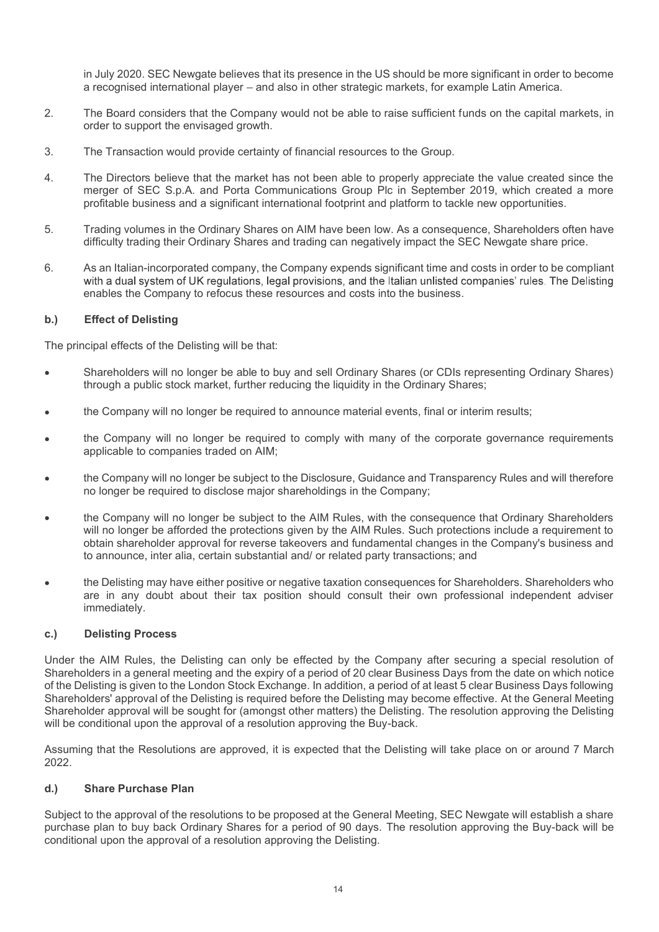in July 2020. SEC Newgate believes that its presence in the US should be more significant in order to become a recognised international player – and also in other strategic markets, for example Latin America.

- 2. In July 2020. SEC Newgate believes that its presence in the US should be more significant in order to become a recognised international player and also in other strategic markets, for example Latin America.<br>2. The Boa order to support the envisaged growth.
- 
- in July 2020. SEC Newgate believes that its presence in the US should be more significant in order a recognised international player and also in other strategic markets, for example Latin Americ<br>2. The Board considers th in July 2020. SEC Newgate believes that its presence in the US should be more significant in order to become<br>a recognised international player – and also in other strategic markets, for example Latin America.<br>The Board con merger of SEC S.p.A. and Porta Communications Group Plc in September 2019, which created a more profitable business and a significant international footprint and platform to tackle new opportunities. in July 2020. SEC Newgate believes that its presence in the US should be more significant in order to become<br>a recognised international player – and also in other strategic markets, for example Latin America.<br>2. The Board in July 2020. SEC Newgate believes that its presence in the US should be more significant in order to become<br>a recognised international player – and also in other strategic markets, for example Latin America.<br>2. The Board in July 2020. SEC Newgate believes that its presence in the US should be<br>a recognised international player – and also in other strategic markets, for<br>The Board considers that the Company would not be able to raise sufficie
- difficulty trading their Ordinary Shares and trading can negatively impact the SEC Newgate share price.
- enables the Company to refocus these resources and costs into the business.

The principal effects of the Delisting will be that:

- Shareholders will no longer be able to buy and sell Ordinary Shares (or CDIs representing Ordinary Shares) through a public stock market, further reducing the liquidity in the Ordinary Shares;
- the Company will no longer be required to announce material events, final or interim results;
- the Company will no longer be required to comply with many of the corporate governance requirements applicable to companies traded on AIM;
- no longer be required to disclose major shareholdings in the Company;
- merger of SEC S.p.A. and Porta Communications Group Pic in September 2019, which created a more<br>profitable business and a significant international footpint and platform to tackle new opportunities.<br>Trading volumes in the the Company will no longer be subject to the AIM Rules, with the consequence that Ordinary Shareholders will no longer be afforded the protections given by the AIM Rules. Such protections include a requirement to obtain shareholder approval for reverse takeovers and fundamental changes in the Company's business and to announce, inter alia, certain substantial and/ or related party transactions; and
- the Delisting may have either positive or negative taxation consequences for Shareholders. Shareholders who are in any doubt about their tax position should consult their own professional independent adviser immediately.

The principal effects of the Delisting will be that:<br>
Shareholders will no longer be able to buy and sell Ordinary Shares (or Circlin through a public stock market, further reducing the liquidity in the Ordinary<br>
the Compa Under the AIM Rules, the Delisting can only be effected by the Company after securing a special resolution of Shareholders in a general meeting and the expiry of a period of 20 clear Business Days from the date on which notice of the Delisting is given to the London Stock Exchange. In addition, a period of at least 5 clear Business Days following Shareholders' approval of the Delisting is required before the Delisting may become effective. At the General Meeting Shareholder approval will be sought for (amongst other matters) the Delisting. The resolution approving the Delisting will be conditional upon the approval of a resolution approving the Buy-back. • the Company will no longer be subject to the Disclosure, Guidance and Transparency Rules and will therefore<br>
• the Company will no longer be subject to the AIM Rules, with the consequence that Ordinary Shareholders<br>
• wi • the Company will no longer be subject to the AIM Rules, with the conser will no longer be afforded the protections given by the AIM Rules. Such probtain shareholder approval for reverse takeovers and fundamental chang to

2022.

Subject to the approval of the resolutions to be proposed at the General Meeting, SEC Newgate will establish a share purchase plan to buy back Ordinary Shares for a period of 90 days. The resolution approving the Buy-back will be conditional upon the approval of a resolution approving the Delisting.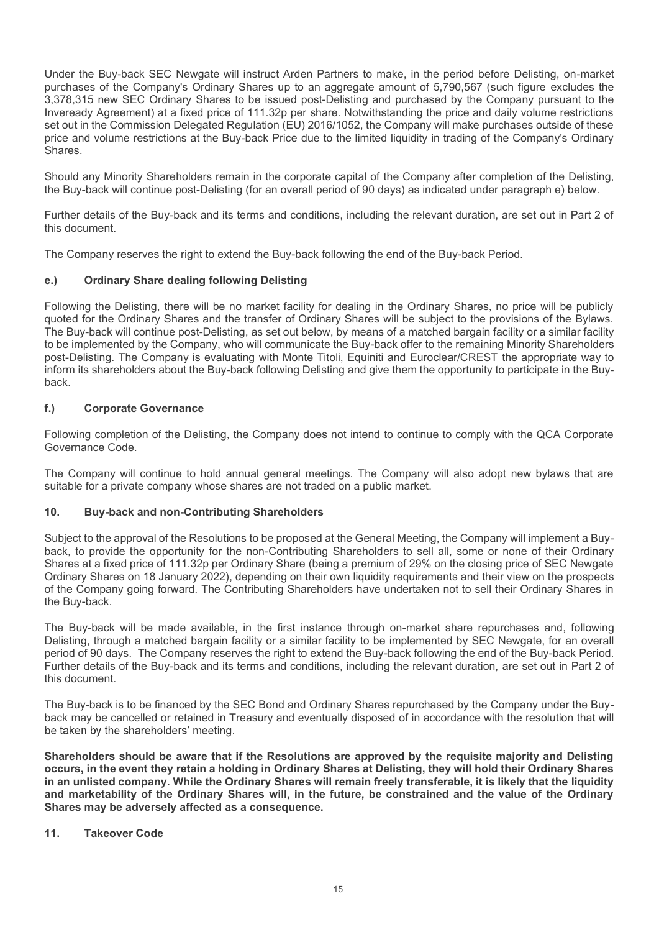Under the Buy-back SEC Newgate will instruct Arden Partners to make, in the period before Delisting, on-market purchases of the Company's Ordinary Shares up to an aggregate amount of 5,790,567 (such figure excludes the 3,378,315 new SEC Ordinary Shares to be issued post-Delisting and purchased by the Company pursuant to the Inveready Agreement) at a fixed price of 111.32p per share. Notwithstanding the price and daily volume restrictions set out in the Commission Delegated Regulation (EU) 2016/1052, the Company will make purchases outside of these Under the Buy-back SEC Newgate will instruct Arden Partners to make, in the period before Delisting, on-market<br>purchases of the Company's Ordinary Shares up to an aggregate amount of 5,790,567 (such figure excludes the<br>3,3 Shares. Under the Buy-back SEC Newgate will instruct Arden Partners to make, in the period before Delisting, on-market<br>purchases of the Company's Ordinary Shares up to an aggregate amount of 5,790,567 (such figure excludes the<br>3,3 Under the Buy-back SEC Newgate will instruct Arden Partners to make, in the period before Dyurchases of the Company's Ordinary Shares up to an aggregate amount of 5,790,567 (such following 378,315 new SEC Ordinary Shares t

the Buy-back will continue post-Delisting (for an overall period of 90 days) as indicated under paragraph e) below.

Further details of the Buy-back and its terms and conditions, including the relevant duration, are set out in Part 2 of this document.

The Company reserves the right to extend the Buy-back following the end of the Buy-back Period.

Following the Delisting, there will be no market facility for dealing in the Ordinary Shares, no price will be publicly quoted for the Ordinary Shares and the transfer of Ordinary Shares will be subject to the provisions of the Bylaws. The Buy-back will continue post-Delisting, as set out below, by means of a matched bargain facility or a similar facility to be implemented by the Company, who will communicate the Buy-back offer to the remaining Minority Shareholders Under the Buy-back SEC Newgate will instruct Arden Partnes to make, in the period before Delisting, on-marked the Dy-back SEC Ordinary Sordinary Sordinary Shares up to an aggregate amount of 5,790.567 (such figure excludes purchases of the Cordinary Softing Chinary Shares up to an aggregate amount of 5,790.567 (such figure sixulces the<br>sharehold Apsement) at a fixed price of 111.32p per share. Nowhitstanding the price and daily volume restri back. set out in the Commission Delegated Regulation (EU) 2016/1052, the Company wiptice and volume restrictions at the Buy-back Price due to the limited liquidity in the Shrees.<br>
Should any Minority Shareholders remain in the c this document.<br>
The Company reserves the right to extend the Buy-back following the end of the Buy-back Period<br>
e.) Ordinary Share dealing following Delisting<br>
Following the Delisting, there will be no market facility for The Company reserves the right to extend the Buy-back following the end of the Buy-back Period.<br>
• Ordinary Share dealing following Delisting<br>
Following the Delisting, there will be no market facility for dealing in the Or

Following completion of the Delisting, the Company does not intend to continue to comply with the QCA Corporate Governance Code.

The Company will continue to hold annual general meetings. The Company will also adopt new bylaws that are suitable for a private company whose shares are not traded on a public market.

back, to provide the opportunity for the non-Contributing Shareholders to sell all, some or none of their Ordinary Shares at a fixed price of 111.32p per Ordinary Share (being a premium of 29% on the closing price of SEC Newgate Ordinary Shares on 18 January 2022), depending on their own liquidity requirements and their view on the prospects of the Company going forward. The Contributing Shareholders have undertaken not to sell their Ordinary Shares in the Buy-back. to be implemented by the Company, who will communicate the Buy-back offer to the remaining Miniority Shareholders<br>host-Delisting. The Company is evaluating with Monte Titoli, Equiniti and Euroclear/CREST the appropriate wa post-Delisting. The Company is evaluating with Monte Titoli, Equiniti and Euroclear/CREST the appropriate way to<br>profit instructions about the Buy-back following Delisting and give them the opportunity to participate in th back.<br>
Following completion of the Delisting, the Company does not intend to continue to comply with the QCA Corporate<br>
Governance Code.<br>
Studience Code.<br>
The Company will continue to hold annual general meetings. The Comp Following completion of the Delisting, the Company does not intend to continue to comply with the QCA Corporate<br>
The Company will continue to hold annual general meetings. The Company will also adopt new bylaws that are<br>
s Following completion of the Delisting, the Company does not intend to continue to comply with the QGA Corporate<br>The Company will continue to hold annual general meetings. The Company will also adopt new bylaws that are<br>sui back, to provide the opportunity for the non-Contributing Shareholders to sell all<br>Shares at a fixed price of 11.1.32p per Ordinary Share (being a premium of 29% on<br>Grainary Shares on 18 January 2022), depending on their o

period of 90 days. The Company reserves the right to extend the Buy-back following the end of the Buy-back Period. this document.

.

Shareholders should be aware that if the Resolutions are approved by the requisite majority and Delisting occurs, in the event they retain a holding in Ordinary Shares at Delisting, they will hold their Ordinary Shares in an unlisted company. While the Ordinary Shares will remain freely transferable, it is likely that the liquidity and marketability of the Ordinary Shares will, in the future, be constrained and the value of the Ordinary Shares may be adversely affected as a consequence.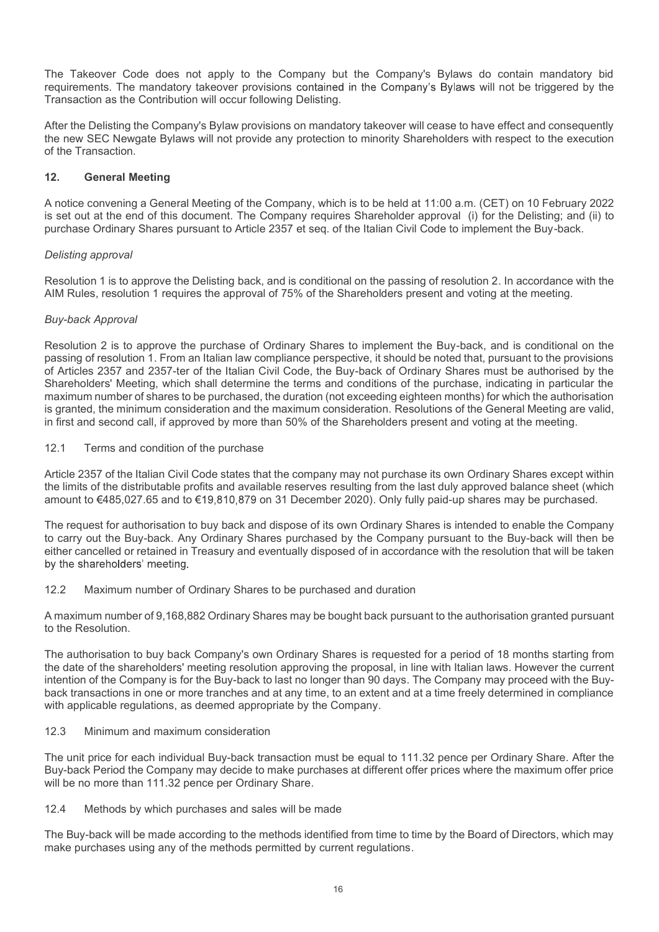The Takeover Code does not apply to the Company but the Company's Bylaws do contain mandatory bid<br>requirements. The mandatory takeover provisions contained in the Company's Bylaws will not be triggered by the<br>Transaction a requirements. The mandatory takeover provisions contained in the Company's Bylaws will not be triggered by the Transaction as the Contribution will occur following Delisting. The Takeover Code does not apply to the Company but the Company's Bylaws do contain mandatory bid<br>requirements. The mandatory takeover provisions contained in the Company's Bylaws will not be triggered by the<br>Transaction a The Takeover Code does not apply to the Company but the Company's B<br>requirements. The mandatory takeover provisions contained in the Company's B<br>Transaction as the Contribution will occur following Delisting.<br>After the Del The Takeover Code does not apply to the Company but the Company's Bylaws do contain mandatory bide<br>requirements. The mandatory takeover provisions contained in the Company's Bylaws will not be triggered by the<br>Transaction The Takeover Code does not apply to the Company but the Company's Bylaws do contain mandatory bid<br>requirements. The mandatory takeover provisions contained in the Company's Bylaws will not be triggered by the<br>Transacton as

After the Delisting the Company's Bylaw provisions on mandatory takeover will cease to have effect and consequently of the Transaction.

is set out at the end of this document. The Company requires Shareholder approval (i) for the Delisting; and (ii) to purchase Ordinary Shares pursuant to Article 2357 et seq. of the Italian Civil Code to implement the Buy-back.

# Delisting approval

AIM Rules, resolution 1 requires the approval of 75% of the Shareholders present and voting at the meeting.

# Buy-back Approval

The Takeover Code does not apply to the Company but the Companys Bylaws do contain mandatory bidrequirements. The mandatory takeover provisions contained in the Company's Bylaws will not be triggered by the Transaction as The Takeover Code does not apply to the Company but the Company's Bylaws do contain mandatory bid<br>Transaction as the Contribution will occur following Delisting.<br>Transaction as the Contribution will occur following Delisti of Articles 2357 and 2357-ter of the Italian Civil Code, the Buy-back of Ordinary Shares must be authorised by the Shareholders' Meeting, which shall determine the terms and conditions of the purchase, indicating in particular the maximum number of shares to be purchased, the duration (not exceeding eighteen months) for which the authorisation After the Delisting the Company's Bylaw provisions on mandatory takeover will cease to have effect and consequently<br>of the Transaction.<br>The Transaction.<br>**12. General Meeting**<br>A notice convening a General Meeting of the Com in first and second call, if approved by more than 50% of the Shareholders present and voting at the meeting. 12. **General Meeting**<br>
12. **General Meeting** of the Company, which is to be held at 11:00<br>
is set out at the end of this document. The Company requires Shareholder approva<br>
purchase Ordinary Shares pursuant to Article 235 A notice convening a General Meeting of the Company, which is to be held at 11:00 a.m. (CET) on 10 February 2022<br>is est out at the end of this document. The Company requires Shareholder approval (i) for the Delisting; and A notice convening a General Meeting of the Company, which is to be held at 11:00 a.m. (CET) on 10 February 2022<br>Is set out at the end of this document. The Company requires Shareholder approval (i) for the Delisting: and is est out at the end of this document. The Company requires Shareholder approval (i) for the Delisting; and (ii) to<br>purchase Ordinary Shares pursuant to Article 2357 et seq. of the Italian Civil Code to implement the Buy-Delisting approval<br>Resolution 1 is to approve the Delisting back, and is conditional on the passing of resolution 2. In accordance with the<br>AIM Rules, resolution 1 requires the approval of 75% of the Shareholders present a Delisting approval<br>Resolution 1 is to approve the Delisting back, and is conditional on the passing of resolution 2. In accordance with the<br>RuM Rules, resolution 1 requires the approval of 75% of the Shareholders present a Resolution 1 is to approve the Delisting back, and is conditional on the passing of resolution 2. In accordance with the AIM Rules, resolution 1 requires the approval of 75% of the Shareholders present and voting at the me Buy-back Approval<br>
Resolution 2 is to approve the purchase of Ordinary Shares to implement the Buy-back, and is conditional on the<br>
passing of resolution 1. From an Italian law compliance perspective, it shold the noted th Resolution 2 is to approve the purchase of Ordinary Shares to implement the Buy-back, and is conditional on the<br>passing of resolution 1. From an Italian law complience perspective, it should be noted that, pursuant to the

to the Resolution.

of Articles 2357 and 2357-tero f the Italian Civil Code, the Buy-back of Ordinary Shares must be authrorised by the Buy-back of Ordinary Shares must be authrorised by the manninum momentof shares to be purchased, indicatio Shareholders' Meeting, which shall determine the terms and conditions of the purchase i, indicating in particular the terms of the mattern and the mattern and the mattern and the mattern and the mattern of the shareholders maximum number of the fares to be purchased, the duration (not exceeding eighteen months) for which the authrorisation<br>is igranted, the minimum consideration and the maximum consideration. Resolutions of the General Meetin is granted, the minimum consideration and the maximum consideration. Resolutions of the General Meeting are valid, in this and second call, if approved by more than 50% of the Shareholders present and voting at the meeting in first and second call, if approved by more than 50% of the Shareholders present and voting at the meeting.<br>12.1 Terms and condition of the purchase<br>Article 2357 of the Italian Civil Code states that the company may not 12.1 Terms and condition of the purchase<br>
Article 2357 of the Italian Civil Code states that the company may not purchase its own<br>
the limits of the distributable profits and available reserves resulting from the last duly Article 2357 of the Italian Civil Code states that the company may not purchase its own Ordinary Shares cosept within<br>the limits of the distributable profits and available reserves resulting from the last duly approved bal amount to 6485,027.65 and to 619,810,879 on 31 December 2020). Only fully paid-up shares may be purchared The request for authorisation to buy back and dispose of its own Ordinary Shares is intended to enable the Co carry The request for authorisation to buy back and dispose of its own Ordinary Shares its coarry out the Buy-back. Any Ordinary Shares purchased by the Company purs<br>beither cancelled or retained in Treasury and eventually dispo either cancelled or retained in Treasury and eventually disposed of in accordance with the resolution that will be taken<br>thy the shareholders' meeting.<br>The aximum number of Ordinary Shares to be purchased and duration<br>A ma

Buy-back Period the Company may decide to make purchases at different offer prices where the maximum offer price

make purchases using any of the methods permitted by current regulations.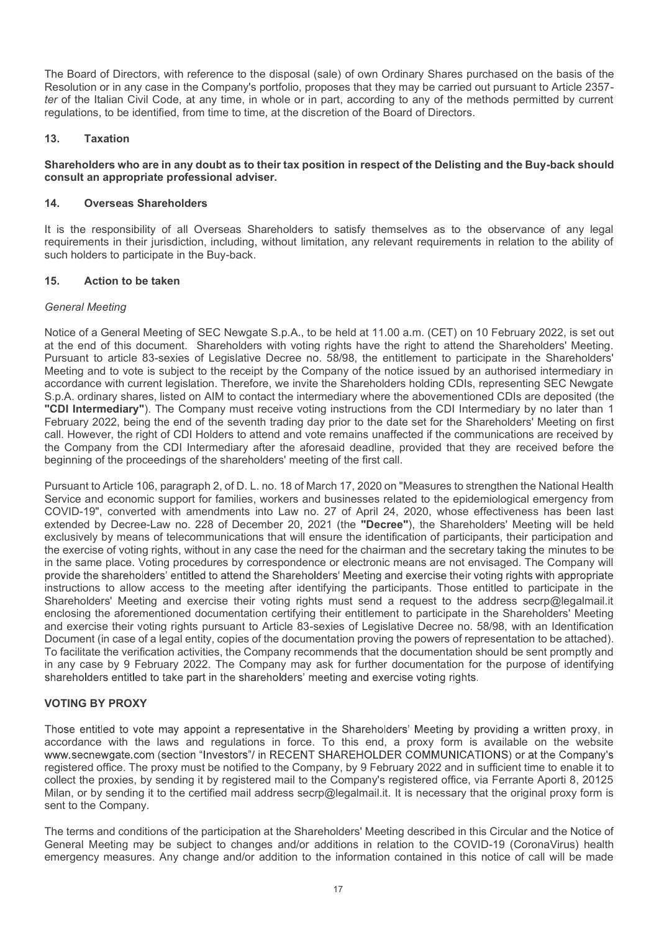The Board of Directors, with reference to the disposal (sale) of own Ordinary Shares purchased on the basis of the<br>Resolution or in any case in the Company's portfolio, proposes that they may be carried out pursuant to Art Resolution or in any case in the Company's portfolio, proposes that they may be carried out pursuant to Article 2357 ter of the Italian Civil Code, at any time, in whole or in part, according to any of the methods permitted by current regulations, to be identified, from time to time, at the discretion of the Board of Directors. The Board of Directors, with reference to the disposal (sale) of own Ordinary Sha<br>Resolution or in any case in the Company's portfolio, proposes that they may be cale<br>ter of the Italian Civil Code, at any time, in whole or The Board of Directors, with reference to the disposal (sale) of own Ordinary Shares purchased on the basis of the Resolution or in any case in the Company's portfolio, proposes that they may be carried out pursuant to Art The Board of Directors, with reference to the disposal (sale) of own Ordinary Sharehold<br>on or in any case in the Company's portfolio, proposes that they may be car<br>fer of the Italian Civil Code, at any time, in whole or in The Board of Directors, with reference to the disposal (sale) of own Ordinary Shares punctles<br>oblition or in any case in the Company's portfolio, proposes that they may be carried ot<br>fer of the Italian Civil Code, at any t

# consult an appropriate professional adviser.

It is the responsibility of all Overseas Shareholders to satisfy themselves as to the observance of any legal requirements in their jurisdiction, including, without limitation, any relevant requirements in relation to the ability of such holders to participate in the Buy-back.

# General Meeting

The Board of Directors, with reference to the disposal (sale) of own Ordinary Shares purchased on the basis of the<br>Resolution or in any case in the Company's portfolio, proposes that they may be carried out pursuant to Art at the end of this document. Shareholders with voting rights have the right to attend the Shareholders' Meeting. Pursuant to article 83-sexies of Legislative Decree no. 58/98, the entitlement to participate in the Shareholders' Meeting and to vote is subject to the receipt by the Company of the notice issued by an authorised intermediary in accordance with current legislation. Therefore, we invite the Shareholders holding CDIs, representing SEC Newgate regulations, to be identified, from time to time, at the discretion of the Board of Directors.<br>
Shareholders who are in any doubt as to their tax position in respect of the Delisting and the Buy-back should<br>
consult an app "CDI Intermediary"). The Company must receive voting instructions from the CDI Intermediary by no later than 1<br>February 2022, being the end of the seventh trading day prior to the date set for the Shareholders' Meeting on 13. Taxation<br>
Shareholders who are in any doubt as to their tax position in respect of the Delisting and the Buy-back should<br>
14. Overseas Shareholders<br>
14. Weresas Shareholders<br>
16. The responsibility of all Overseas Shar call. However, the right of CDI Holders to attend and vote remains unaffected if the communications are received by Shareholders who are in any doubt as to their tax position in respect of the Delisting and the Buy-back should<br>
14. Overseas Shareholders<br>
14. Overseas Shareholders<br>
14. Universeas Shareholders<br>
15. It is the responsibilit beginning of the proceedings of the shareholders' meeting of the first call.

Pursuant to Article 106, paragraph 2, of D. L. no. 18 of March 17, 2020 on "Measures to strengthen the National Health Service and economic support for families, workers and businesses related to the epidemiological emergency from COVID-19", converted with amendments into Law no. 27 of April 24, 2020, whose effectiveness has been last extended by Decree-Law no. 228 of December 20, 2021 (the "Decree"), the Shareholders' Meeting will be held exclusively by means of telecommunications that will ensure the identification of participants, their participation and the exercise of voting rights, without in any case the need for the chairman and the secretary taking the minutes to be in the same place. Voting procedures by correspondence or electronic means are not envisaged. The Company will<br>provide the shareholders' entitled to attend the Shareholders' Meeting and exercise their voting rights with ap instructions to allow access to the meeting after identifying the participants. Those entitled to participate in the Shareholders' Meeting and exercise their voting rights must send a request to the address secrp@legalmail.it enclosing the aforementioned documentation certifying their entitlement to participate in the Shareholders' Meeting and exercise their voting rights pursuant to Article 83-sexies of Legislative Decree no. 58/98, with an Identification Document (in case of a legal entity, copies of the documentation proving the powers of representation to be attached). To facilitate the verification activities, the Company recommends that the documentation should be sent promptly and<br>in any case by 9 February 2022. The Company may ask for further documentation for the purpose of identify accordance with current legislation. Therefore, we invite the Shareholders holding CDIs, representing SEC Newgate Sp.A. ordinary shares, listed on AMM to contact the intermediary where the abovementic ordinary and the comp Pursuant to Article 106, paragraph 2, of D. I. n. 18 of March 17, 2020 on "Measures to strengthen the National Health<br>Service and economic support for families, workers and businesses related to the epidemiological emergen COVID-19" converted with mendments into Law no. 27 of April 24, 2002, whose effectiveness has been last to the Certified mail and the certified by persons has the lest exclusively by means of telecommunications that will e

# VOTING BY PROXY

accordance with the laws and regulations in force. To this end, a proxy form is available on the website collect the proxies, by sending it by registered mail to the Company's registered office, via Ferrante Aporti 8, 20125<br>Milan, or by sending it to the certified mail address secrp@legalmail.it. It is necessary that the orig sent to the Company.

The terms and conditions of the participation at the Shareholders' Meeting described in this Circular and the Notice of General Meeting may be subject to changes and/or additions in relation to the COVID-19 (CoronaVirus) health emergency measures. Any change and/or addition to the information contained in this notice of call will be made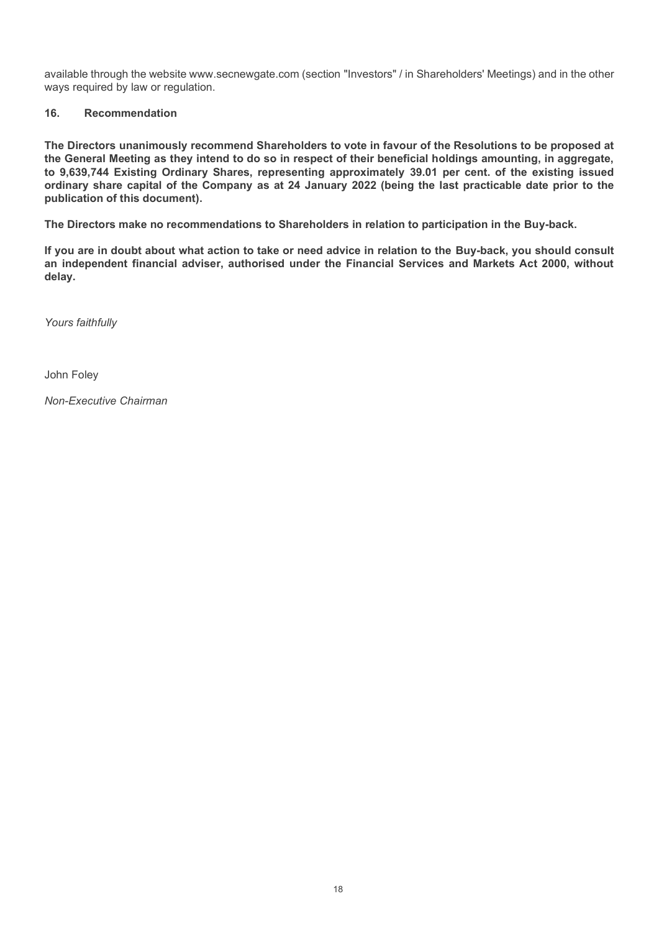available through the website www.secnewgate.com (section "Investors" / in Shareholders' Meetings) and in the other<br>ways required by law or regulation.<br>16. Recommendation<br>The Directors unanimously recommend Shareholders to Savailable through the website www.secnewgate.com (section "Investors" / in Shareholders' Meetity<br>ways required by law or regulation.<br>**16. Recommendation**<br>The Directors unanimously recommend Shareholders to vote in favour

Example through the website www.secnewgate.com (section "Investors" / in Share<br>
16. Recommendation<br>
16. Recommendation<br>
16. Recommendation<br>
16. Recommendation<br>
16. Recommendation<br>
16. Recommendation<br>
16. Recommendation<br>
16 available through the website www.secnewgate.com (section "Investors" / in Shareholders' Meetings) and in the other<br>ways required by law or regulation.<br>The Directors unanimously recommend Shareholders to vote in favour of available through the website www.secnewgate.com (section "Investors" / in Shareholders' Meetings) and in the other<br>ways required by law or regulation.<br>The Directors unanimously recommend Shareholders to vote in favour of available through the website www.secnewgate.com (section "Investors" / in Shareholders' Meetings) and in the other<br>ways required by law or regulation.<br>16. Recommendation<br>The Directors unanimously recommend Shareholders to available through the website www.secnewgate.com (section "Investors" / in Shareholders' Meetings) and in the other<br>ways required by law or regulation.<br>16. Recommendation<br>The Directors unanimously recommend Shareholders to publication of this document).

The Directors make no recommendations to Shareholders in relation to participation in the Buy-back.

If you are in doubt about what action to take or need advice in relation to the Buy-back, you should consult an independent financial adviser, authorised under the Financial Services and Markets Act 2000, without delay.

Yours faithfully

John Foley

Non-Executive Chairman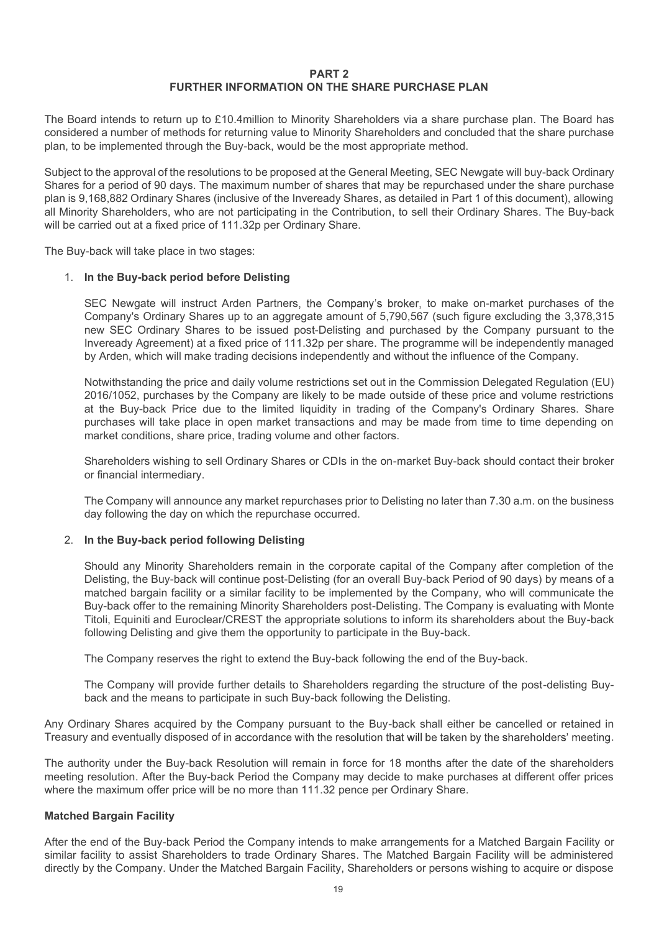# PART 2 FURTHER INFORMATION ON THE SHARE PURCHASE PLAN

**FURTHER INFORMATION ON THE SHARE PURCHASE PLAN**<br>The Board intends to return up to £10.4million to Minority Shareholders via a share purchase plan. The Board has<br>considered a number of methods for returning value to Minori considered a number of methods for returning value to Minority Shareholders and concluded that the share purchase

**PART 2**<br> **PART 2**<br> **PART 2**<br> **PART 2**<br> **PART 2**<br> **PART 2**<br> **PART 2**<br> **PART 2**<br> **PART 2**<br> **PART 2**<br> **PART 2**<br> **PART 2**<br> **PART 2**<br> **PART 2**<br> **PART 2**<br> **PART 2**<br> **PART 2**<br> **PART 2**<br> **PART 2**<br> **PART 2**<br> **PART 2**<br> **PART 2**<br> **P FURTHER INFORMATION ON THE SHARE PURCHASE PLAN**<br>The Board intends to return up to £10 4million to Minority Shareholders via a share purchase plan. The Board has<br>considered a number of methods for returning value to Minori Shares for a period of 90 days. The maximum number of shares that may be repurchased under the share purchase plan is 9,168,882 Ordinary Shares (inclusive of the Inveready Shares, as detailed in Part 1 of this document), allowing **EXECT SHARE PURCHASE PLAN**<br>
The Board intends to return up to £10.4million to Minority Shareholders via a share purchase plan. The Board has<br>
considered a number of methods for returning value to Minority Shareholders and **EXECT:**<br> **EXECT:**<br> **EXECT:**<br> **EXECT:**<br> **EXECT:**<br> **EXECT:**<br> **EXECT:**<br> **EXECT:**<br> **EXECT:**<br> **EXECT:**<br> **EXECT:**<br> **EXECT:**<br> **EXECT:**<br> **EXECT:**<br> **EXECT:**<br> **EXECT:**<br> **STOREDGEANT:**<br> **STOREDGEANT:**<br> **STOREDGEANT:**<br> **STOREDGEANT: FURTHER INFORMATION ON THE SHARE PURCHASE PLA**<br>The Board intends to return up to £10.4million to Minority Shareholders via a share pureonsidered a number of methods for returning value to Minority Shareholders and conclud

# 1. In the Buy-back period before Delisting

SEC Newgate will instruct Arden Partners, the Company's broker, to make on-market purchases of the Company's Ordinary Shares up to an aggregate amount of 5,790,567 (such figure excluding the 3,378,315 new SEC Ordinary Shares to be issued post-Delisting and purchased by the Company pursuant to the Inveready Agreement) at a fixed price of 111.32p per share. The programme will be independently managed by Arden, which will make trading decisions independently and without the influence of the Company. at the Buy-back present of the resolution of windlivity shareholders was a share purchase plant. The board name<br>of dianumber of methods for returning value to Minority Shareholders and concluded that the share purchase<br>be eva number of metanology or leading wate to wincling value and contracted and the share purchases of the approval of the resolutions to be proposed at the General Meeting, SEC Newgate will buy-back Ordinary to the approval my shareholders, with are not participating in the Compillation, to sell their Urdinary Shares. The buy-back<br>arried out at a fixed price of 111.32p per Ordinary Share.<br>-back will take place in two stages:<br>In the Buy-back p

Notwithstanding the price and daily volume restrictions set out in the Commission Delegated Regulation (EU) 2016/1052, purchases by the Company are likely to be made outside of these price and volume restrictions market conditions, share price, trading volume and other factors.

Shareholders wishing to sell Ordinary Shares or CDIs in the on-market Buy-back should contact their broker or financial intermediary.

day following the day on which the repurchase occurred.

# 2. In the Buy-back period following Delisting

Should any Minority Shareholders remain in the corporate capital of the Company after completion of the SEC Newyate will instruct Arden Partners, the Company's broker, to make on-market purchases of the Company's Ordinary Shares to to an aggregate amount of 5,790,567 (such figure excluding the 3,378,315 company Sucret and th matched bargain facility or a similar facility to be implemented by the Company, who will communicate the Buy-back offer to the remaining Minority Shareholders post-Delisting. The Company is evaluating with Monte Titoli, Equiniti and Euroclear/CREST the appropriate solutions to inform its shareholders about the Buy-back following Delisting and give them the opportunity to participate in the Buy-back. Notwithstanding the price and daily volume restrictions set out in the Commission Delegated Regulation (EU)<br>2016/1052, purchasse by the Company are likely to be made outside of these prios and volume restrictions<br>at the Bu manket conditions, share price, trading volume and other ractors.<br>
Shareholders wishing to sell Ordinary Shares or CDIs in the on-market Buy-back should contact their broker<br>
or financial intermediary.<br>
The Company will an The Company will announce any market repurchases prior to Delisting no later than 7.30 a.m. on the business<br>day following the day on which the repurchase occurred.<br>2. In the Buy-back period following Delisting<br>Should any M The Company will amounte any makinet repurcinates prior to Delisting the der company after completion of the Distingential of the Company after completion of the Distingential any Minority Shareholders remain in the corpor

The Company will provide further details to Shareholders regarding the structure of the post-delisting Buyback and the means to participate in such Buy-back following the Delisting.

Treasury and eventually disposed of in accordance with the resolution that will be taken by the shareholders' meeting.

The authority under the Buy-back Resolution will remain in force for 18 months after the date of the shareholders

# Matched Bargain Facility

After the end of the Buy-back Period the Company intends to make arrangements for a Matched Bargain Facility or similar facility to assist Shareholders to trade Ordinary Shares. The Matched Bargain Facility will be administered directly by the Company. Under the Matched Bargain Facility, Shareholders or persons wishing to acquire or dispose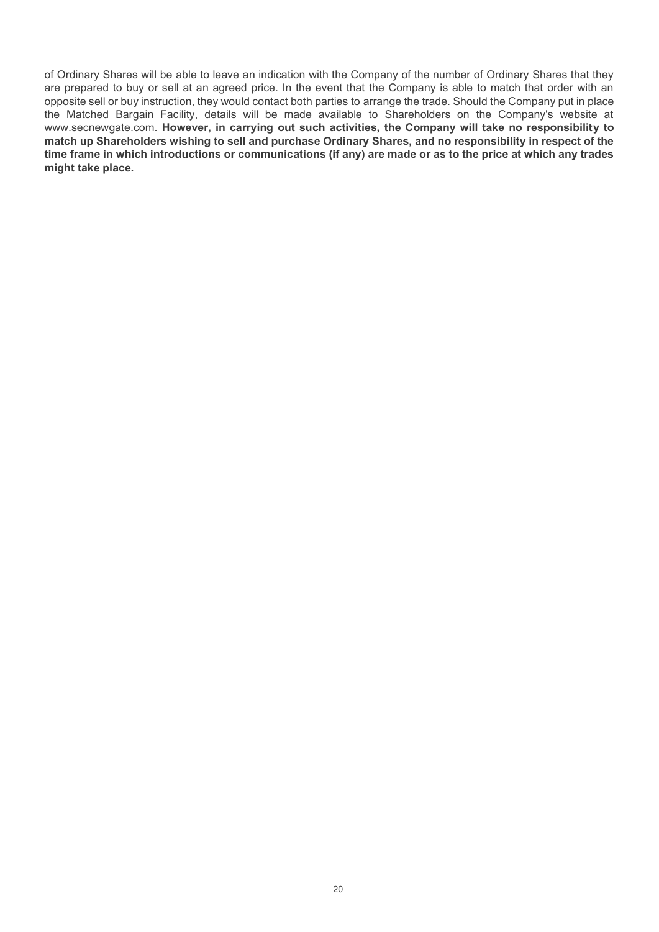of Ordinary Shares will be able to leave an indication with the Company of the number of Ordinary Shares that they are prepared to buy or sell at an agreed price. In the event that the Company is able to match that order with an opposite sell or buy instruction, they would contact both parties to arrange the trade. Should the Company put in place the Matched Bargain Facility, details will be made available to Shareholders on the Company's website at www.secnewgate.com. However, in carrying out such activities, the Company will take no responsibility to match up Shareholders wishing to sell and purchase Ordinary Shares, and no responsibility in respect of the time frame in which introductions or communications (if any) are made or as to the price at which any trades might take place.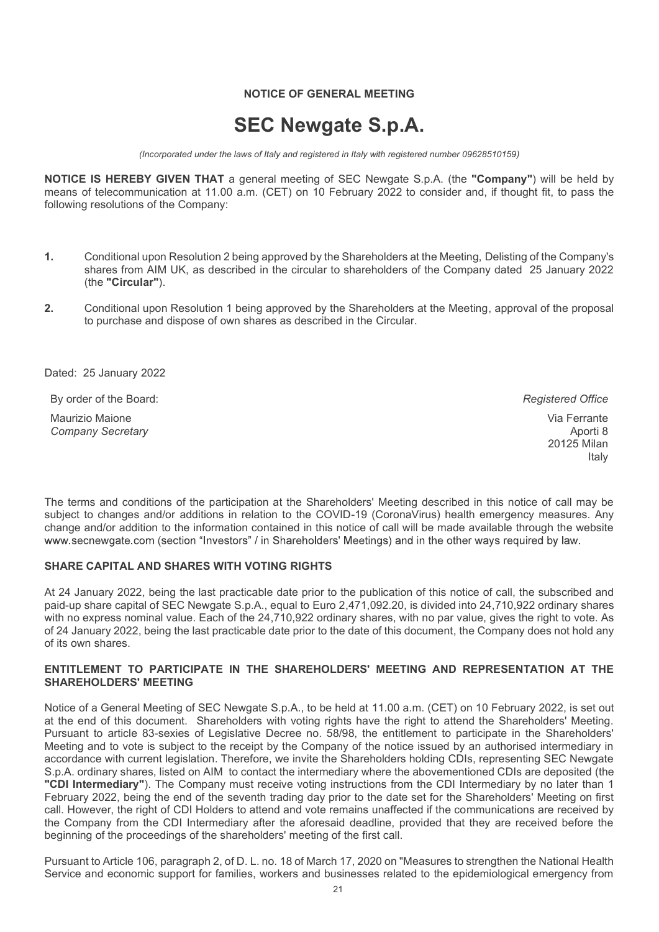# NOTICE OF GENERAL MEETING

# SEC Newgate S.p.A.

(Incorporated under the laws of Italy and registered in Italy with registered number 09628510159)

NOTICE OF GENERAL MEETING<br>
SEC Newgate S.p.A.<br>
(Incorporated under the laws of Italy and registered in Italy with registered number 09628510159)<br>
NOTICE IS HEREBY GIVEN THAT a general meeting of SEC Newgate S.p.A. (the "Co **MOTICE OF GENERAL MEETING<br>
SEC Newgate S.p.A.**<br> *(Incorporated under the laws of Italy and registered in Italy with registered number 09628510159)*<br> **NOTICE IS HEREBY GIVEN THAT** a general meeting of SEC Newgate S.p.A. (t MOTICE OF GENERAL MEETING<br>
SEC Newgate S.p.A.<br>
(Incorporated under the laws of Italy and registered in Italy with registered number 0962851015<br>
NOTICE IS HEREBY GIVEN THAT a general meeting of SEC Newgate S.p.A. (the "Comp

- 1. Conditional upon Resolution 2 being approved by the Shareholders at the Meeting, Delisting of the Company's shares from AIM UK, as described in the circular to shareholders of the Company dated 25 January 2022 (the "Circular"). **SEC Newgate S.p.A.**<br>
(Incorporated under the laws of Italy and registered in Italy with registered number 09628510<br>
NOTICE IS HEREBY GIVEN THAT a general meeting of SEC Newgate S.p.A. (the "Commeans of telecommunication a
- 2. Conditional upon Resolution 1 being approved by the Shareholders at the Meeting, approval of the proposal to purchase and dispose of own shares as described in the Circular.

By order of the Board: **Registered Office** Board: **Registered Office** Registered Office

Maurizio Maione Company Secretary

Via Ferrante Aporti 8 20125 Milan Italy

Conditional upon Resolution 2 being approved by the Shareholders at the Meeting, Delisting of the Company's<br>
shares from AIM UK, as described in the circular to shareholders of the Company dated 25 January 2022<br>
2. Conditi subject to changes and/or additions in relation to the COVID-19 (CoronaVirus) health emergency measures. Any change and/or addition to the information contained in this notice of call will be made available through the website

# SHARE CAPITAL AND SHARES WITH VOTING RIGHTS

2. Conditional upon Resolution 1 being approved by the Shareholders at the Meeting, approval of the proposal<br>
to purchase and dispose of own shares as described in the Circular.<br>
<br>
Dated: 25 January 2022<br>
By order of the paid-up share capital of SEC Newgate S.p.A., equal to Euro 2,471,092.20, is divided into 24,710,922 ordinary shares with no express nominal value. Each of the 24,710,922 ordinary shares, with no par value, gives the right to vote. As Dated: 25 January 2022<br>
By order of the Board:<br>
Manyizol Maione<br>
Company Secretary<br>
20125 Milan<br>
20125 Milan<br>
20126 Milan<br>
20126 Milan<br>
20126 Milan<br>
20126 Milan<br>
20126 Milan<br>
20126 Milan<br>
20126 Milan<br>
20126 Milan<br>
20126 Mi of its own shares.

# ENTITLEMENT TO PARTICIPATE IN THE SHAREHOLDERS' MEETING AND REPRESENTATION AT THE SHAREHOLDERS' MEETING

Naturation was enter and conditions of the participation at the Shareholders' Meeting described in this notice of call may be subted to changes andor additions of the participation at the Shareholders' Meeting described in at the end of this document. Shareholders with voting rights have the right to attend the Shareholders' Meeting. Pursuant to article 83-sexies of Legislative Decree no. 58/98, the entitlement to participate in the Shareholders' Meeting and to vote is subject to the receipt by the Company of the notice issued by an authorised intermediary in accordance with current legislation. Therefore, we invite the Shareholders holding CDIs, representing SEC Newgate The terms and conditions of the participation at the Shareholders' Meeting described in this notice of call may be<br>subject to changes and/or addition to the information contained in this notice of call will be made availab The terms and conditions of the participatem at the Shareholders' Meeting described in this notice of call may be<br>tablect to changes and/or additions in relation to the COVID-19 (CoronaVirus) health emergency measures. Any February 2022, being the end of the seventh trading day prior to the date set for the Shareholders' Meeting on first call. However, the right of CDI Holders to attend and vote remains unaffected if the communications are received by the Company from the CDI Intermediary after the aforesaid deadline, provided that they are received before the beginning of the proceedings of the shareholders' meeting of the first call.

Pursuant to Article 106, paragraph 2, of D. L. no. 18 of March 17, 2020 on "Measures to strengthen the National Health Service and economic support for families, workers and businesses related to the epidemiological emergency from